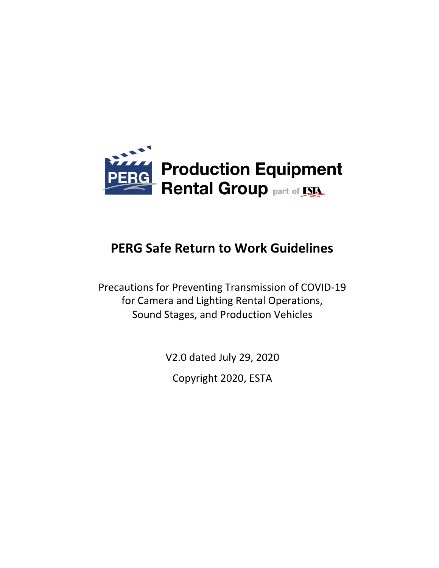

# **PERG Safe Return to Work Guidelines**

Precautions for Preventing Transmission of COVID-19 for Camera and Lighting Rental Operations, Sound Stages, and Production Vehicles

V2.0 dated July 29, 2020

Copyright 2020, ESTA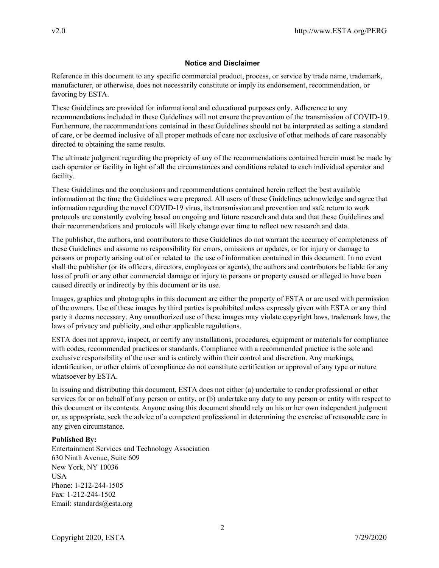#### **Notice and Disclaimer**

Reference in this document to any specific commercial product, process, or service by trade name, trademark, manufacturer, or otherwise, does not necessarily constitute or imply its endorsement, recommendation, or favoring by ESTA.

These Guidelines are provided for informational and educational purposes only. Adherence to any recommendations included in these Guidelines will not ensure the prevention of the transmission of COVID-19. Furthermore, the recommendations contained in these Guidelines should not be interpreted as setting a standard of care, or be deemed inclusive of all proper methods of care nor exclusive of other methods of care reasonably directed to obtaining the same results.

The ultimate judgment regarding the propriety of any of the recommendations contained herein must be made by each operator or facility in light of all the circumstances and conditions related to each individual operator and facility.

These Guidelines and the conclusions and recommendations contained herein reflect the best available information at the time the Guidelines were prepared. All users of these Guidelines acknowledge and agree that information regarding the novel COVID-19 virus, its transmission and prevention and safe return to work protocols are constantly evolving based on ongoing and future research and data and that these Guidelines and their recommendations and protocols will likely change over time to reflect new research and data.

The publisher, the authors, and contributors to these Guidelines do not warrant the accuracy of completeness of these Guidelines and assume no responsibility for errors, omissions or updates, or for injury or damage to persons or property arising out of or related to the use of information contained in this document. In no event shall the publisher (or its officers, directors, employees or agents), the authors and contributors be liable for any loss of profit or any other commercial damage or injury to persons or property caused or alleged to have been caused directly or indirectly by this document or its use.

Images, graphics and photographs in this document are either the property of ESTA or are used with permission of the owners. Use of these images by third parties is prohibited unless expressly given with ESTA or any third party it deems necessary. Any unauthorized use of these images may violate copyright laws, trademark laws, the laws of privacy and publicity, and other applicable regulations.

ESTA does not approve, inspect, or certify any installations, procedures, equipment or materials for compliance with codes, recommended practices or standards. Compliance with a recommended practice is the sole and exclusive responsibility of the user and is entirely within their control and discretion. Any markings, identification, or other claims of compliance do not constitute certification or approval of any type or nature whatsoever by ESTA.

In issuing and distributing this document, ESTA does not either (a) undertake to render professional or other services for or on behalf of any person or entity, or (b) undertake any duty to any person or entity with respect to this document or its contents. Anyone using this document should rely on his or her own independent judgment or, as appropriate, seek the advice of a competent professional in determining the exercise of reasonable care in any given circumstance.

#### **Published By:**

Entertainment Services and Technology Association 630 Ninth Avenue, Suite 609 New York, NY 10036 **USA** Phone: 1-212-244-1505 Fax: 1-212-244-1502 Email: standards@esta.org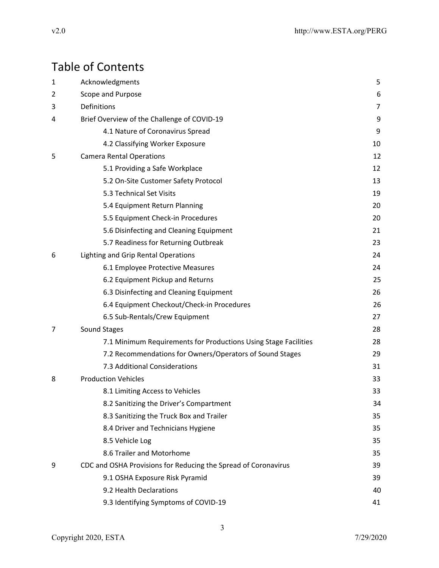# Table of Contents

| 1 | Acknowledgments                                                 | 5  |
|---|-----------------------------------------------------------------|----|
| 2 | Scope and Purpose                                               | 6  |
| 3 | Definitions                                                     | 7  |
| 4 | Brief Overview of the Challenge of COVID-19                     | 9  |
|   | 4.1 Nature of Coronavirus Spread                                | 9  |
|   | 4.2 Classifying Worker Exposure                                 | 10 |
| 5 | <b>Camera Rental Operations</b>                                 | 12 |
|   | 5.1 Providing a Safe Workplace                                  | 12 |
|   | 5.2 On-Site Customer Safety Protocol                            | 13 |
|   | 5.3 Technical Set Visits                                        | 19 |
|   | 5.4 Equipment Return Planning                                   | 20 |
|   | 5.5 Equipment Check-in Procedures                               | 20 |
|   | 5.6 Disinfecting and Cleaning Equipment                         | 21 |
|   | 5.7 Readiness for Returning Outbreak                            | 23 |
| 6 | Lighting and Grip Rental Operations                             | 24 |
|   | 6.1 Employee Protective Measures                                | 24 |
|   | 6.2 Equipment Pickup and Returns                                | 25 |
|   | 6.3 Disinfecting and Cleaning Equipment                         | 26 |
|   | 6.4 Equipment Checkout/Check-in Procedures                      | 26 |
|   | 6.5 Sub-Rentals/Crew Equipment                                  | 27 |
| 7 | Sound Stages                                                    | 28 |
|   | 7.1 Minimum Requirements for Productions Using Stage Facilities | 28 |
|   | 7.2 Recommendations for Owners/Operators of Sound Stages        | 29 |
|   | 7.3 Additional Considerations                                   | 31 |
| 8 | <b>Production Vehicles</b>                                      | 33 |
|   | 8.1 Limiting Access to Vehicles                                 | 33 |
|   | 8.2 Sanitizing the Driver's Compartment                         | 34 |
|   | 8.3 Sanitizing the Truck Box and Trailer                        | 35 |
|   | 8.4 Driver and Technicians Hygiene                              | 35 |
|   | 8.5 Vehicle Log                                                 | 35 |
|   | 8.6 Trailer and Motorhome                                       | 35 |
| 9 | CDC and OSHA Provisions for Reducing the Spread of Coronavirus  | 39 |
|   | 9.1 OSHA Exposure Risk Pyramid                                  | 39 |
|   | 9.2 Health Declarations                                         | 40 |
|   | 9.3 Identifying Symptoms of COVID-19                            | 41 |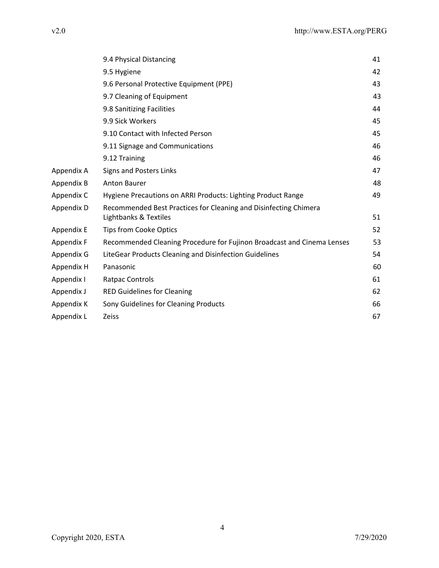|            | 9.4 Physical Distancing                                                                   | 41 |
|------------|-------------------------------------------------------------------------------------------|----|
|            | 9.5 Hygiene                                                                               | 42 |
|            | 9.6 Personal Protective Equipment (PPE)                                                   | 43 |
|            | 9.7 Cleaning of Equipment                                                                 | 43 |
|            | 9.8 Sanitizing Facilities                                                                 | 44 |
|            | 9.9 Sick Workers                                                                          | 45 |
|            | 9.10 Contact with Infected Person                                                         | 45 |
|            | 9.11 Signage and Communications                                                           | 46 |
|            | 9.12 Training                                                                             | 46 |
| Appendix A | <b>Signs and Posters Links</b>                                                            | 47 |
| Appendix B | <b>Anton Baurer</b>                                                                       | 48 |
| Appendix C | Hygiene Precautions on ARRI Products: Lighting Product Range                              | 49 |
| Appendix D | Recommended Best Practices for Cleaning and Disinfecting Chimera<br>Lightbanks & Textiles | 51 |
| Appendix E | <b>Tips from Cooke Optics</b>                                                             | 52 |
| Appendix F | Recommended Cleaning Procedure for Fujinon Broadcast and Cinema Lenses                    | 53 |
| Appendix G | LiteGear Products Cleaning and Disinfection Guidelines                                    | 54 |
| Appendix H | Panasonic                                                                                 | 60 |
| Appendix I | <b>Ratpac Controls</b>                                                                    | 61 |
| Appendix J | <b>RED Guidelines for Cleaning</b>                                                        | 62 |
| Appendix K | Sony Guidelines for Cleaning Products                                                     | 66 |
| Appendix L | <b>Zeiss</b>                                                                              | 67 |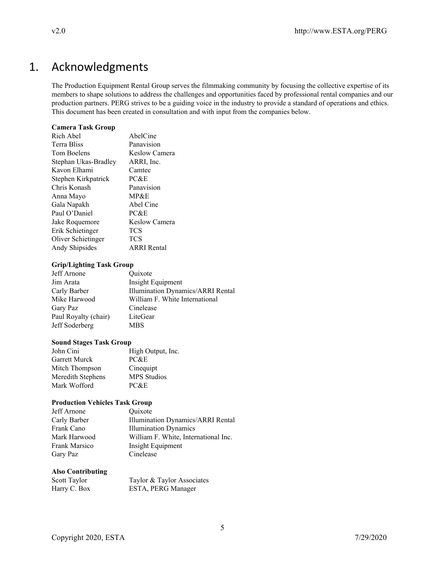# 1. Acknowledgments

The Production Equipment Rental Group serves the filmmaking community by focusing the collective expertise of its members to shape solutions to address the challenges and opportunities faced by professional rental companies and our production partners. PERG strives to be a guiding voice in the industry to provide a standard of operations and ethics. This document has been created in consultation and with input from the companies below.

#### **Camera Task Group**

| Rich Abel            | AbelCine             |
|----------------------|----------------------|
| Terra Bliss          | Panavision           |
| Tom Boelens          | Keslow Camera        |
| Stephan Ukas-Bradley | ARRI, Inc.           |
| Kavon Elhami         | Camtec               |
| Stephen Kirkpatrick  | PC&E                 |
| Chris Konash         | Panavision           |
| Anna Mayo            | MP&E                 |
| Gala Napakh          | Abel Cine            |
| Paul O'Daniel        | PC&E                 |
| Jake Roquemore       | <b>Keslow Camera</b> |
| Erik Schietinger     | <b>TCS</b>           |
| Oliver Schietinger   | <b>TCS</b>           |
| Andy Shipsides       | <b>ARRI</b> Rental   |

#### **Grip/Lighting Task Group**

| Jeff Arnone          | Quixote                                  |
|----------------------|------------------------------------------|
| Jim Arata            | Insight Equipment                        |
| Carly Barber         | <b>Illumination Dynamics/ARRI Rental</b> |
| Mike Harwood         | William F. White International           |
| Gary Paz             | Cinelease                                |
| Paul Royalty (chair) | LiteGear                                 |
| Jeff Soderberg       | <b>MBS</b>                               |
|                      |                                          |

#### **Sound Stages Task Group**

| John Cini            | High Output, Inc.  |
|----------------------|--------------------|
| <b>Garrett Murck</b> | PC&E               |
| Mitch Thompson       | Cinequipt          |
| Meredith Stephens    | <b>MPS</b> Studios |
| Mark Wofford         | PC&E               |

### **Production Vehicles Task Group**

| Jeff Arnone   | Quixote                              |
|---------------|--------------------------------------|
| Carly Barber  | Illumination Dynamics/ARRI Rental    |
| Frank Cano    | <b>Illumination Dynamics</b>         |
| Mark Harwood  | William F. White, International Inc. |
| Frank Marsico | Insight Equipment                    |
| Gary Paz      | Cinelease                            |

#### **Also Contributing**

| Scott Taylor | Taylor & Taylor Associates |
|--------------|----------------------------|
| Harry C. Box | ESTA, PERG Manager         |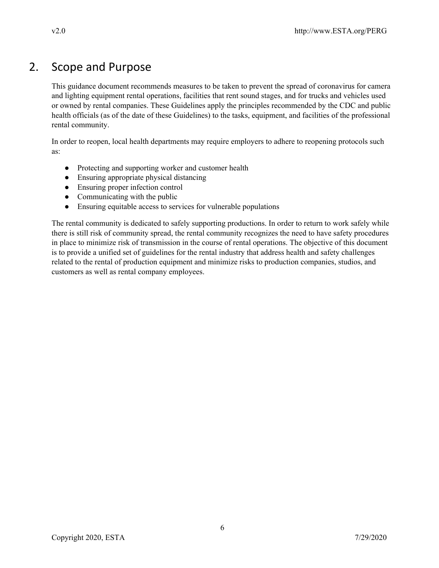# 2. Scope and Purpose

This guidance document recommends measures to be taken to prevent the spread of coronavirus for camera and lighting equipment rental operations, facilities that rent sound stages, and for trucks and vehicles used or owned by rental companies. These Guidelines apply the principles recommended by the CDC and public health officials (as of the date of these Guidelines) to the tasks, equipment, and facilities of the professional rental community.

In order to reopen, local health departments may require employers to adhere to reopening protocols such as:

- Protecting and supporting worker and customer health
- Ensuring appropriate physical distancing
- Ensuring proper infection control
- $\bullet$  Communicating with the public
- Ensuring equitable access to services for vulnerable populations

The rental community is dedicated to safely supporting productions. In order to return to work safely while there is still risk of community spread, the rental community recognizes the need to have safety procedures in place to minimize risk of transmission in the course of rental operations. The objective of this document is to provide a unified set of guidelines for the rental industry that address health and safety challenges related to the rental of production equipment and minimize risks to production companies, studios, and customers as well as rental company employees.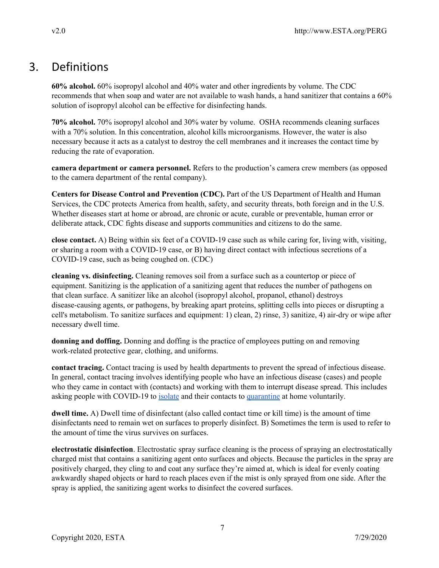# 3. Definitions

**60% alcohol.** 60% isopropyl alcohol and 40% water and other ingredients by volume. The CDC recommends that when soap and water are not available to wash hands, a hand sanitizer that contains a 60% solution of isopropyl alcohol can be effective for disinfecting hands.

**70% alcohol.** 70% isopropyl alcohol and 30% water by volume. OSHA recommends cleaning surfaces with a 70% solution. In this concentration, alcohol kills microorganisms. However, the water is also necessary because it acts as a catalyst to destroy the cell membranes and it increases the contact time by reducing the rate of evaporation.

**camera department or camera personnel.** Refers to the production's camera crew members (as opposed to the camera department of the rental company).

**Centers for Disease Control and Prevention (CDC).** Part of the US Department of Health and Human Services, the CDC protects America from health, safety, and security threats, both foreign and in the U.S. Whether diseases start at home or abroad, are chronic or acute, curable or preventable, human error or deliberate attack, CDC fights disease and supports communities and citizens to do the same.

**close contact.** A) Being within six feet of a COVID-19 case such as while caring for, living with, visiting, or sharing a room with a COVID-19 case, or B) having direct contact with infectious secretions of a COVID-19 case, such as being coughed on. (CDC)

**cleaning vs. disinfecting.** Cleaning removes soil from a surface such as a countertop or piece of equipment. Sanitizing is the application of a sanitizing agent that reduces the number of pathogens on that clean surface. A sanitizer like an alcohol (isopropyl alcohol, propanol, ethanol) destroys disease-causing agents, or pathogens, by breaking apart proteins, splitting cells into pieces or disrupting a cell's metabolism. To sanitize surfaces and equipment: 1) clean, 2) rinse, 3) sanitize, 4) air-dry or wipe after necessary dwell time.

**donning and doffing.** Donning and doffing is the practice of employees putting on and removing work-related protective gear, clothing, and uniforms.

**contact tracing.** Contact tracing is used by health departments to prevent the spread of infectious disease. In general, contact tracing involves identifying people who have an infectious disease (cases) and people who they came in contact with (contacts) and working with them to interrupt disease spread. This includes asking people with COVID-19 to [isolate](https://www.cdc.gov/coronavirus/2019-ncov/if-you-are-sick/quarantine.html) and their contacts to [quarantine](https://www.cdc.gov/coronavirus/2019-ncov/if-you-are-sick/quarantine.html) at home voluntarily.

**dwell time.** A) Dwell time of disinfectant (also called contact time or kill time) is the amount of time disinfectants need to remain wet on surfaces to properly disinfect. B) Sometimes the term is used to refer to the amount of time the virus survives on surfaces.

**electrostatic disinfection**. Electrostatic spray surface cleaning is the process of spraying an electrostatically charged mist that contains a sanitizing agent onto surfaces and objects. Because the particles in the spray are positively charged, they cling to and coat any surface they're aimed at, which is ideal for evenly coating awkwardly shaped objects or hard to reach places even if the mist is only sprayed from one side. After the spray is applied, the sanitizing agent works to disinfect the covered surfaces.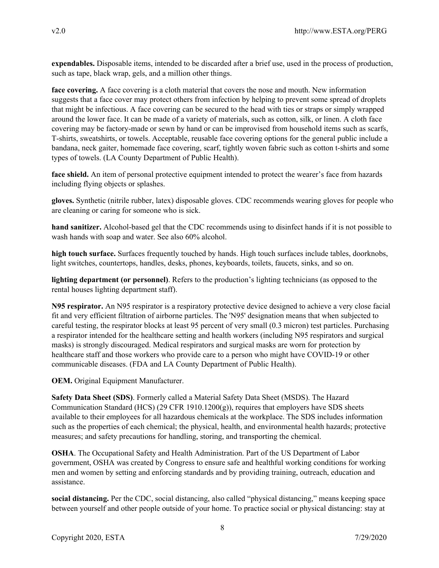**expendables.** Disposable items, intended to be discarded after a brief use, used in the process of production, such as tape, black wrap, gels, and a million other things.

**face covering.** A face covering is a cloth material that covers the nose and mouth. New information suggests that a face cover may protect others from infection by helping to prevent some spread of droplets that might be infectious. A face covering can be secured to the head with ties or straps or simply wrapped around the lower face. It can be made of a variety of materials, such as cotton, silk, or linen. A cloth face covering may be factory-made or sewn by hand or can be improvised from household items such as scarfs, T-shirts, sweatshirts, or towels. Acceptable, reusable face covering options for the general public include a bandana, neck gaiter, homemade face covering, scarf, tightly woven fabric such as cotton t-shirts and some types of towels. (LA County Department of Public Health).

**face shield.** An item of personal protective equipment intended to protect the wearer's face from hazards including flying objects or splashes.

**gloves.** Synthetic (nitrile rubber, latex) disposable gloves. CDC recommends wearing gloves for people who are cleaning or caring for someone who is sick.

**hand sanitizer.** Alcohol-based gel that the CDC recommends using to disinfect hands if it is not possible to wash hands with soap and water. See also 60% alcohol.

**high touch surface.** Surfaces frequently touched by hands. High touch surfaces include tables, doorknobs, light switches, countertops, handles, desks, phones, keyboards, toilets, faucets, sinks, and so on.

**lighting department (or personnel)**. Refers to the production's lighting technicians (as opposed to the rental houses lighting department staff).

**N95 respirator.** An N95 respirator is a respiratory protective device designed to achieve a very close facial fit and very efficient filtration of airborne particles. The 'N95' designation means that when subjected to careful testing, the respirator blocks at least 95 percent of very small (0.3 micron) test particles. Purchasing a respirator intended for the healthcare setting and health workers (including N95 respirators and surgical masks) is strongly discouraged. Medical respirators and surgical masks are worn for protection by healthcare staff and those workers who provide care to a person who might have COVID-19 or other communicable diseases. (FDA and LA County Department of Public Health).

**OEM.** Original Equipment Manufacturer.

**Safety Data Sheet (SDS)**. Formerly called a Material Safety Data Sheet (MSDS). The Hazard Communication Standard (HCS) (29 CFR 1910.1200(g)), requires that employers have SDS sheets available to their employees for all hazardous chemicals at the workplace. The SDS includes information such as the properties of each chemical; the physical, health, and environmental health hazards; protective measures; and safety precautions for handling, storing, and transporting the chemical.

**OSHA**. The Occupational Safety and Health Administration. Part of the US Department of Labor government, OSHA was created by Congress to ensure safe and healthful working conditions for working men and women by setting and enforcing standards and by providing training, outreach, education and assistance.

**social distancing.** Per the CDC, social distancing, also called "physical distancing," means keeping space between yourself and other people outside of your home. To practice social or physical distancing: stay at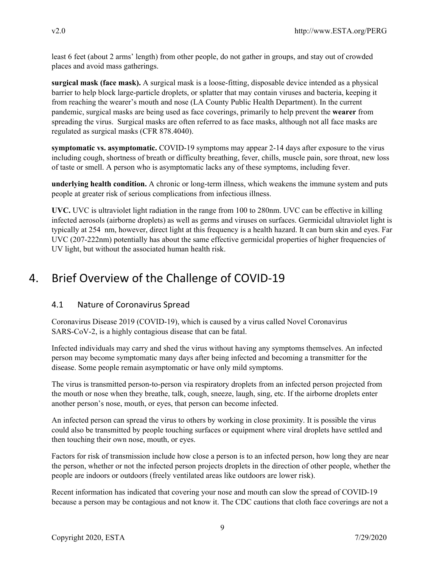least 6 feet (about 2 arms' length) from other people, do not gather in groups, and stay out of crowded places and avoid mass gatherings.

**surgical mask (face mask).** A surgical mask is a loose-fitting, disposable device intended as a physical barrier to help block large-particle droplets, or splatter that may contain viruses and bacteria, keeping it from reaching the wearer's mouth and nose (LA County Public Health Department). In the current pandemic, surgical masks are being used as face coverings, primarily to help prevent the **wearer** from spreading the virus. Surgical masks are often referred to as face masks, although not all face masks are regulated as surgical masks (CFR 878.4040).

**symptomatic vs. asymptomatic.** COVID-19 symptoms may appear 2-14 days after exposure to the virus including cough, shortness of breath or difficulty breathing, fever, chills, muscle pain, sore throat, new loss of taste or smell. A person who is asymptomatic lacks any of these symptoms, including fever.

**underlying health condition.** A chronic or long-term illness, which weakens the immune system and puts people at greater risk of serious complications from infectious illness.

**UVC.** UVC is ultraviolet light radiation in the range from 100 to 280nm. UVC can be effective in killing infected aerosols (airborne droplets) as well as germs and viruses on surfaces. Germicidal ultraviolet light is typically at 254 nm, however, direct light at this frequency is a health hazard. It can burn skin and eyes. Far UVC (207-222nm) potentially has about the same effective germicidal properties of higher frequencies of UV light, but without the associated human health risk.

# 4. Brief Overview of the Challenge of COVID-19

# 4.1 Nature of Coronavirus Spread

Coronavirus Disease 2019 (COVID-19), which is caused by a virus called Novel Coronavirus SARS-CoV-2, is a highly contagious disease that can be fatal.

Infected individuals may carry and shed the virus without having any symptoms themselves. An infected person may become symptomatic many days after being infected and becoming a transmitter for the disease. Some people remain asymptomatic or have only mild symptoms.

The virus is transmitted person-to-person via respiratory droplets from an infected person projected from the mouth or nose when they breathe, talk, cough, sneeze, laugh, sing, etc. If the airborne droplets enter another person's nose, mouth, or eyes, that person can become infected.

An infected person can spread the virus to others by working in close proximity. It is possible the virus could also be transmitted by people touching surfaces or equipment where viral droplets have settled and then touching their own nose, mouth, or eyes.

Factors for risk of transmission include how close a person is to an infected person, how long they are near the person, whether or not the infected person projects droplets in the direction of other people, whether the people are indoors or outdoors (freely ventilated areas like outdoors are lower risk).

Recent information has indicated that covering your nose and mouth can slow the spread of COVID-19 because a person may be contagious and not know it. The CDC cautions that cloth face coverings are not a

9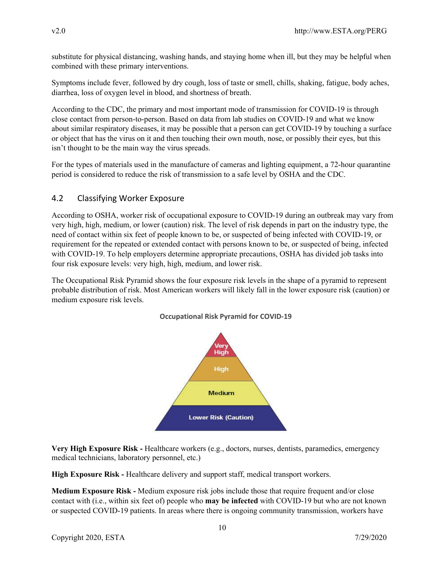substitute for physical distancing, washing hands, and staying home when ill, but they may be helpful when combined with these primary interventions.

Symptoms include fever, followed by dry cough, loss of taste or smell, chills, shaking, fatigue, body aches, diarrhea, loss of oxygen level in blood, and shortness of breath.

According to the CDC, the primary and most important mode of transmission for COVID-19 is through close contact from person-to-person. Based on data from lab studies on COVID-19 and what we know about similar respiratory diseases, it may be possible that a person can get COVID-19 by touching a surface or object that has the virus on it and then touching their own mouth, nose, or possibly their eyes, but this isn't thought to be the main way the virus spreads.

For the types of materials used in the manufacture of cameras and lighting equipment, a 72-hour quarantine period is considered to reduce the risk of transmission to a safe level by OSHA and the CDC.

# 4.2 Classifying Worker Exposure

According to OSHA, worker risk of occupational exposure to COVID-19 during an outbreak may vary from very high, high, medium, or lower (caution) risk. The level of risk depends in part on the industry type, the need of contact within six feet of people known to be, or suspected of being infected with COVID-19, or requirement for the repeated or extended contact with persons known to be, or suspected of being, infected with COVID-19. To help employers determine appropriate precautions, OSHA has divided job tasks into four risk exposure levels: very high, high, medium, and lower risk.

The Occupational Risk Pyramid shows the four exposure risk levels in the shape of a pyramid to represent probable distribution of risk. Most American workers will likely fall in the lower exposure risk (caution) or medium exposure risk levels.



## **Occupational Risk Pyramid for COVID-19**

**Very High Exposure Risk -** Healthcare workers (e.g., doctors, nurses, dentists, paramedics, emergency medical technicians, laboratory personnel, etc.)

**High Exposure Risk -** Healthcare delivery and support staff, medical transport workers.

**Medium Exposure Risk -** Medium exposure risk jobs include those that require frequent and/or close contact with (i.e., within six feet of) people who **may be infected** with COVID-19 but who are not known or suspected COVID-19 patients. In areas where there is ongoing community transmission, workers have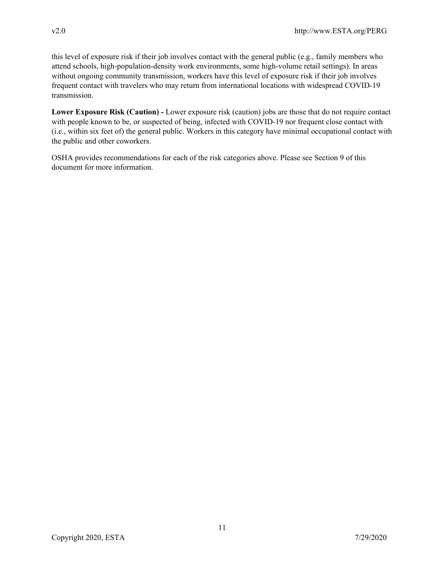this level of exposure risk if their job involves contact with the general public (e.g., family members who attend schools, high-population-density work environments, some high-volume retail settings). In areas without ongoing community transmission, workers have this level of exposure risk if their job involves frequent contact with travelers who may return from international locations with widespread COVID-19 transmission.

**Lower Exposure Risk (Caution) -** Lower exposure risk (caution) jobs are those that do not require contact with people known to be, or suspected of being, infected with COVID-19 nor frequent close contact with (i.e., within six feet of) the general public. Workers in this category have minimal occupational contact with the public and other coworkers.

OSHA provides recommendations for each of the risk categories above. Please see Section 9 of this document for more information.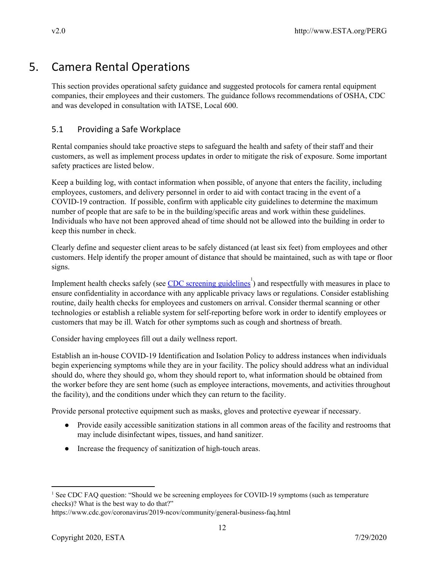# 5. Camera Rental Operations

This section provides operational safety guidance and suggested protocols for camera rental equipment companies, their employees and their customers. The guidance follows recommendations of OSHA, CDC and was developed in consultation with IATSE, Local 600.

# 5.1 Providing a Safe Workplace

Rental companies should take proactive steps to safeguard the health and safety of their staff and their customers, as well as implement process updates in order to mitigate the risk of exposure. Some important safety practices are listed below.

Keep a building log, with contact information when possible, of anyone that enters the facility, including employees, customers, and delivery personnel in order to aid with contact tracing in the event of a COVID-19 contraction. If possible, confirm with applicable city guidelines to determine the maximum number of people that are safe to be in the building/specific areas and work within these guidelines. Individuals who have not been approved ahead of time should not be allowed into the building in order to keep this number in check.

Clearly define and sequester client areas to be safely distanced (at least six feet) from employees and other customers. Help identify the proper amount of distance that should be maintained, such as with tape or floor signs.

Implement health checks safely (see  $\overline{CDC}$  screening [guidelines](https://www.cdc.gov/coronavirus/2019-ncov/community/general-business-faq.html)<sup>1</sup>) and respectfully with measures in place to ensure confidentiality in accordance with any applicable privacy laws or regulations. Consider establishing routine, daily health checks for employees and customers on arrival. Consider thermal scanning or other technologies or establish a reliable system for self-reporting before work in order to identify employees or customers that may be ill. Watch for other symptoms such as cough and shortness of breath.

Consider having employees fill out a daily wellness report.

Establish an in-house COVID-19 Identification and Isolation Policy to address instances when individuals begin experiencing symptoms while they are in your facility. The policy should address what an individual should do, where they should go, whom they should report to, what information should be obtained from the worker before they are sent home (such as employee interactions, movements, and activities throughout the facility), and the conditions under which they can return to the facility.

Provide personal protective equipment such as masks, gloves and protective eyewear if necessary.

- Provide easily accessible sanitization stations in all common areas of the facility and restrooms that may include disinfectant wipes, tissues, and hand sanitizer.
- Increase the frequency of sanitization of high-touch areas.

<sup>&</sup>lt;sup>1</sup> See CDC FAQ question: "Should we be screening employees for COVID-19 symptoms (such as temperature checks)? What is the best way to do that?"

https://www.cdc.gov/coronavirus/2019-ncov/community/general-business-faq.html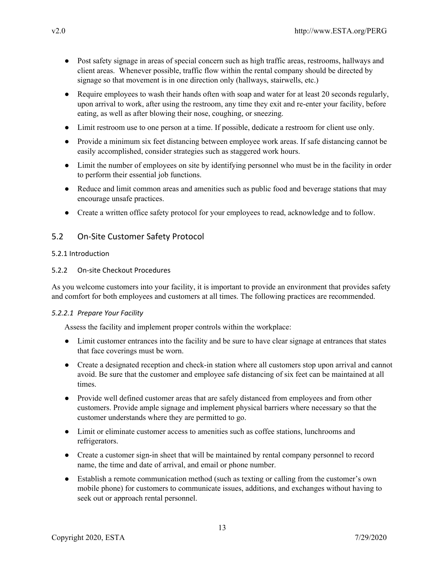- Post safety signage in areas of special concern such as high traffic areas, restrooms, hallways and client areas. Whenever possible, traffic flow within the rental company should be directed by signage so that movement is in one direction only (hallways, stairwells, etc.)
- Require employees to wash their hands often with soap and water for at least 20 seconds regularly, upon arrival to work, after using the restroom, any time they exit and re-enter your facility, before eating, as well as after blowing their nose, coughing, or sneezing.
- Limit restroom use to one person at a time. If possible, dedicate a restroom for client use only.
- Provide a minimum six feet distancing between employee work areas. If safe distancing cannot be easily accomplished, consider strategies such as staggered work hours.
- Limit the number of employees on site by identifying personnel who must be in the facility in order to perform their essential job functions.
- Reduce and limit common areas and amenities such as public food and beverage stations that may encourage unsafe practices.
- Create a written office safety protocol for your employees to read, acknowledge and to follow.

## 5.2 On-Site Customer Safety Protocol

#### 5.2.1 Introduction

### 5.2.2 On-site Checkout Procedures

As you welcome customers into your facility, it is important to provide an environment that provides safety and comfort for both employees and customers at all times. The following practices are recommended.

#### *5.2.2.1 Prepare Your Facility*

Assess the facility and implement proper controls within the workplace:

- Limit customer entrances into the facility and be sure to have clear signage at entrances that states that face coverings must be worn.
- Create a designated reception and check-in station where all customers stop upon arrival and cannot avoid. Be sure that the customer and employee safe distancing of six feet can be maintained at all times.
- Provide well defined customer areas that are safely distanced from employees and from other customers. Provide ample signage and implement physical barriers where necessary so that the customer understands where they are permitted to go.
- Limit or eliminate customer access to amenities such as coffee stations, lunchrooms and refrigerators.
- Create a customer sign-in sheet that will be maintained by rental company personnel to record name, the time and date of arrival, and email or phone number.
- Establish a remote communication method (such as texting or calling from the customer's own mobile phone) for customers to communicate issues, additions, and exchanges without having to seek out or approach rental personnel.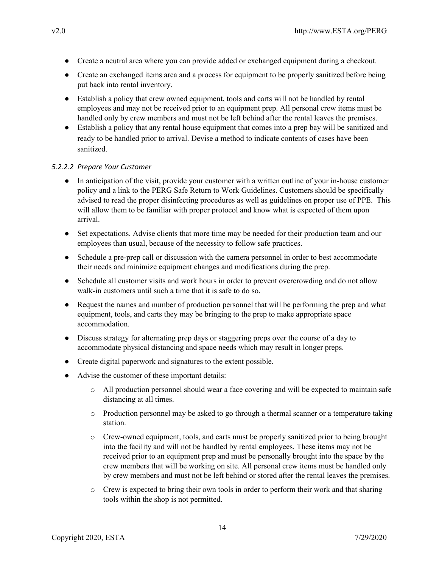- Create a neutral area where you can provide added or exchanged equipment during a checkout.
- Create an exchanged items area and a process for equipment to be properly sanitized before being put back into rental inventory.
- Establish a policy that crew owned equipment, tools and carts will not be handled by rental employees and may not be received prior to an equipment prep. All personal crew items must be handled only by crew members and must not be left behind after the rental leaves the premises.
- Establish a policy that any rental house equipment that comes into a prep bay will be sanitized and ready to be handled prior to arrival. Devise a method to indicate contents of cases have been sanitized.

## *5.2.2.2 Prepare Your Customer*

- In anticipation of the visit, provide your customer with a written outline of your in-house customer policy and a link to the PERG Safe Return to Work Guidelines. Customers should be specifically advised to read the proper disinfecting procedures as well as guidelines on proper use of PPE. This will allow them to be familiar with proper protocol and know what is expected of them upon arrival.
- Set expectations. Advise clients that more time may be needed for their production team and our employees than usual, because of the necessity to follow safe practices.
- Schedule a pre-prep call or discussion with the camera personnel in order to best accommodate their needs and minimize equipment changes and modifications during the prep.
- Schedule all customer visits and work hours in order to prevent overcrowding and do not allow walk-in customers until such a time that it is safe to do so.
- Request the names and number of production personnel that will be performing the prep and what equipment, tools, and carts they may be bringing to the prep to make appropriate space accommodation.
- Discuss strategy for alternating prep days or staggering preps over the course of a day to accommodate physical distancing and space needs which may result in longer preps.
- Create digital paperwork and signatures to the extent possible.
- Advise the customer of these important details:
	- o All production personnel should wear a face covering and will be expected to maintain safe distancing at all times.
	- o Production personnel may be asked to go through a thermal scanner or a temperature taking station.
	- o Crew-owned equipment, tools, and carts must be properly sanitized prior to being brought into the facility and will not be handled by rental employees. These items may not be received prior to an equipment prep and must be personally brought into the space by the crew members that will be working on site. All personal crew items must be handled only by crew members and must not be left behind or stored after the rental leaves the premises.
	- $\circ$  Crew is expected to bring their own tools in order to perform their work and that sharing tools within the shop is not permitted.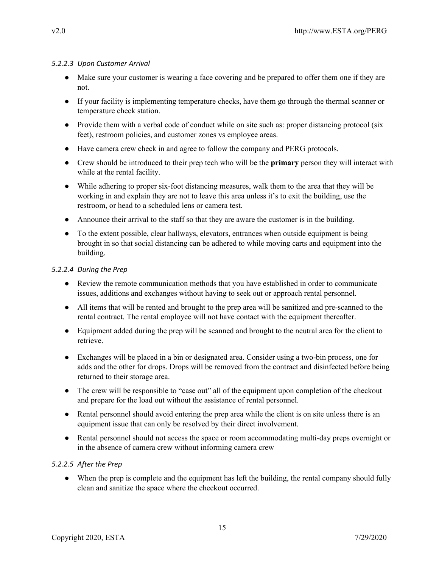### *5.2.2.3 Upon Customer Arrival*

- Make sure your customer is wearing a face covering and be prepared to offer them one if they are not.
- If your facility is implementing temperature checks, have them go through the thermal scanner or temperature check station.
- Provide them with a verbal code of conduct while on site such as: proper distancing protocol (six feet), restroom policies, and customer zones vs employee areas.
- Have camera crew check in and agree to follow the company and PERG protocols.
- Crew should be introduced to their prep tech who will be the **primary** person they will interact with while at the rental facility.
- While adhering to proper six-foot distancing measures, walk them to the area that they will be working in and explain they are not to leave this area unless it's to exit the building, use the restroom, or head to a scheduled lens or camera test.
- Announce their arrival to the staff so that they are aware the customer is in the building.
- To the extent possible, clear hallways, elevators, entrances when outside equipment is being brought in so that social distancing can be adhered to while moving carts and equipment into the building.

## *5.2.2.4 During the Prep*

- Review the remote communication methods that you have established in order to communicate issues, additions and exchanges without having to seek out or approach rental personnel.
- All items that will be rented and brought to the prep area will be sanitized and pre-scanned to the rental contract. The rental employee will not have contact with the equipment thereafter.
- Equipment added during the prep will be scanned and brought to the neutral area for the client to retrieve.
- Exchanges will be placed in a bin or designated area. Consider using a two-bin process, one for adds and the other for drops. Drops will be removed from the contract and disinfected before being returned to their storage area.
- The crew will be responsible to "case out" all of the equipment upon completion of the checkout and prepare for the load out without the assistance of rental personnel.
- Rental personnel should avoid entering the prep area while the client is on site unless there is an equipment issue that can only be resolved by their direct involvement.
- Rental personnel should not access the space or room accommodating multi-day preps overnight or in the absence of camera crew without informing camera crew

## *5.2.2.5 After the Prep*

• When the prep is complete and the equipment has left the building, the rental company should fully clean and sanitize the space where the checkout occurred.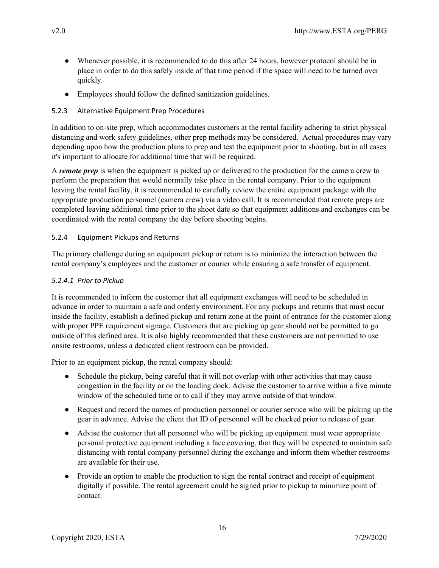- Whenever possible, it is recommended to do this after 24 hours, however protocol should be in place in order to do this safely inside of that time period if the space will need to be turned over quickly.
- Employees should follow the defined sanitization guidelines.

## 5.2.3 Alternative Equipment Prep Procedures

In addition to on-site prep, which accommodates customers at the rental facility adhering to strict physical distancing and work safety guidelines, other prep methods may be considered. Actual procedures may vary depending upon how the production plans to prep and test the equipment prior to shooting, but in all cases it's important to allocate for additional time that will be required.

A *remote prep* is when the equipment is picked up or delivered to the production for the camera crew to perform the preparation that would normally take place in the rental company. Prior to the equipment leaving the rental facility, it is recommended to carefully review the entire equipment package with the appropriate production personnel (camera crew) via a video call. It is recommended that remote preps are completed leaving additional time prior to the shoot date so that equipment additions and exchanges can be coordinated with the rental company the day before shooting begins.

### 5.2.4 Equipment Pickups and Returns

The primary challenge during an equipment pickup or return is to minimize the interaction between the rental company's employees and the customer or courier while ensuring a safe transfer of equipment.

### *5.2.4.1 Prior to Pickup*

It is recommended to inform the customer that all equipment exchanges will need to be scheduled in advance in order to maintain a safe and orderly environment. For any pickups and returns that must occur inside the facility, establish a defined pickup and return zone at the point of entrance for the customer along with proper PPE requirement signage. Customers that are picking up gear should not be permitted to go outside of this defined area. It is also highly recommended that these customers are not permitted to use onsite restrooms, unless a dedicated client restroom can be provided.

Prior to an equipment pickup, the rental company should:

- Schedule the pickup, being careful that it will not overlap with other activities that may cause congestion in the facility or on the loading dock. Advise the customer to arrive within a five minute window of the scheduled time or to call if they may arrive outside of that window.
- Request and record the names of production personnel or courier service who will be picking up the gear in advance. Advise the client that ID of personnel will be checked prior to release of gear.
- Advise the customer that all personnel who will be picking up equipment must wear appropriate personal protective equipment including a face covering, that they will be expected to maintain safe distancing with rental company personnel during the exchange and inform them whether restrooms are available for their use.
- Provide an option to enable the production to sign the rental contract and receipt of equipment digitally if possible. The rental agreement could be signed prior to pickup to minimize point of contact.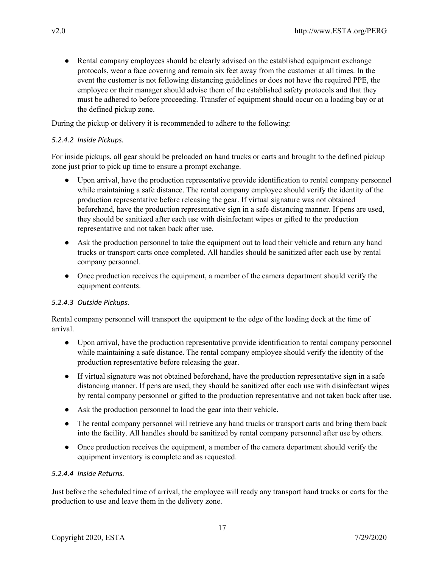• Rental company employees should be clearly advised on the established equipment exchange protocols, wear a face covering and remain six feet away from the customer at all times. In the event the customer is not following distancing guidelines or does not have the required PPE, the employee or their manager should advise them of the established safety protocols and that they must be adhered to before proceeding. Transfer of equipment should occur on a loading bay or at the defined pickup zone.

During the pickup or delivery it is recommended to adhere to the following:

## *5.2.4.2 Inside Pickups.*

For inside pickups, all gear should be preloaded on hand trucks or carts and brought to the defined pickup zone just prior to pick up time to ensure a prompt exchange.

- Upon arrival, have the production representative provide identification to rental company personnel while maintaining a safe distance. The rental company employee should verify the identity of the production representative before releasing the gear. If virtual signature was not obtained beforehand, have the production representative sign in a safe distancing manner. If pens are used, they should be sanitized after each use with disinfectant wipes or gifted to the production representative and not taken back after use.
- Ask the production personnel to take the equipment out to load their vehicle and return any hand trucks or transport carts once completed. All handles should be sanitized after each use by rental company personnel.
- Once production receives the equipment, a member of the camera department should verify the equipment contents.

#### *5.2.4.3 Outside Pickups.*

Rental company personnel will transport the equipment to the edge of the loading dock at the time of arrival.

- Upon arrival, have the production representative provide identification to rental company personnel while maintaining a safe distance. The rental company employee should verify the identity of the production representative before releasing the gear.
- If virtual signature was not obtained beforehand, have the production representative sign in a safe distancing manner. If pens are used, they should be sanitized after each use with disinfectant wipes by rental company personnel or gifted to the production representative and not taken back after use.
- Ask the production personnel to load the gear into their vehicle.
- The rental company personnel will retrieve any hand trucks or transport carts and bring them back into the facility. All handles should be sanitized by rental company personnel after use by others.
- Once production receives the equipment, a member of the camera department should verify the equipment inventory is complete and as requested.

#### *5.2.4.4 Inside Returns.*

Just before the scheduled time of arrival, the employee will ready any transport hand trucks or carts for the production to use and leave them in the delivery zone.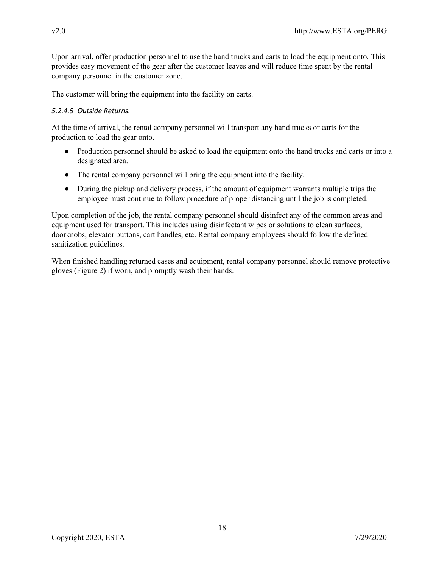Upon arrival, offer production personnel to use the hand trucks and carts to load the equipment onto. This provides easy movement of the gear after the customer leaves and will reduce time spent by the rental company personnel in the customer zone.

The customer will bring the equipment into the facility on carts.

### *5.2.4.5 Outside Returns.*

At the time of arrival, the rental company personnel will transport any hand trucks or carts for the production to load the gear onto.

- Production personnel should be asked to load the equipment onto the hand trucks and carts or into a designated area.
- The rental company personnel will bring the equipment into the facility.
- During the pickup and delivery process, if the amount of equipment warrants multiple trips the employee must continue to follow procedure of proper distancing until the job is completed.

Upon completion of the job, the rental company personnel should disinfect any of the common areas and equipment used for transport. This includes using disinfectant wipes or solutions to clean surfaces, doorknobs, elevator buttons, cart handles, etc. Rental company employees should follow the defined sanitization guidelines.

When finished handling returned cases and equipment, rental company personnel should remove protective gloves (Figure 2) if worn, and promptly wash their hands.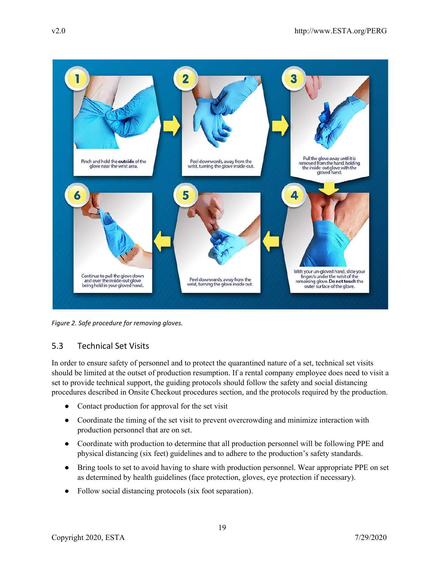

*Figure 2. Safe procedure for removing gloves.*

# 5.3 Technical Set Visits

In order to ensure safety of personnel and to protect the quarantined nature of a set, technical set visits should be limited at the outset of production resumption. If a rental company employee does need to visit a set to provide technical support, the guiding protocols should follow the safety and social distancing procedures described in Onsite Checkout procedures section, and the protocols required by the production.

- Contact production for approval for the set visit
- Coordinate the timing of the set visit to prevent overcrowding and minimize interaction with production personnel that are on set.
- Coordinate with production to determine that all production personnel will be following PPE and physical distancing (six feet) guidelines and to adhere to the production's safety standards.
- Bring tools to set to avoid having to share with production personnel. Wear appropriate PPE on set as determined by health guidelines (face protection, gloves, eye protection if necessary).
- Follow social distancing protocols (six foot separation).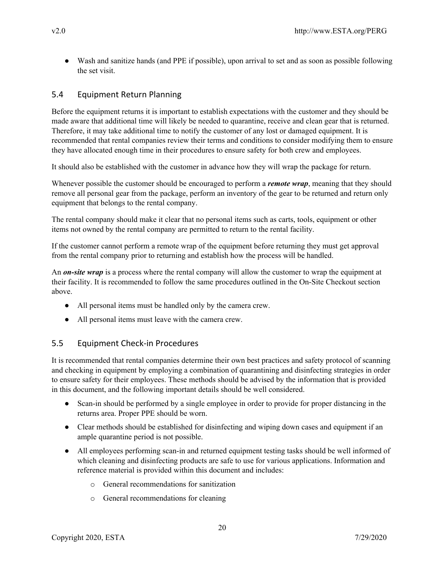● Wash and sanitize hands (and PPE if possible), upon arrival to set and as soon as possible following the set visit.

# 5.4 Equipment Return Planning

Before the equipment returns it is important to establish expectations with the customer and they should be made aware that additional time will likely be needed to quarantine, receive and clean gear that is returned. Therefore, it may take additional time to notify the customer of any lost or damaged equipment. It is recommended that rental companies review their terms and conditions to consider modifying them to ensure they have allocated enough time in their procedures to ensure safety for both crew and employees.

It should also be established with the customer in advance how they will wrap the package for return.

Whenever possible the customer should be encouraged to perform a *remote wrap*, meaning that they should remove all personal gear from the package, perform an inventory of the gear to be returned and return only equipment that belongs to the rental company.

The rental company should make it clear that no personal items such as carts, tools, equipment or other items not owned by the rental company are permitted to return to the rental facility.

If the customer cannot perform a remote wrap of the equipment before returning they must get approval from the rental company prior to returning and establish how the process will be handled.

An *on-site wrap* is a process where the rental company will allow the customer to wrap the equipment at their facility. It is recommended to follow the same procedures outlined in the On-Site Checkout section above.

- All personal items must be handled only by the camera crew.
- All personal items must leave with the camera crew.

# 5.5 Equipment Check-in Procedures

It is recommended that rental companies determine their own best practices and safety protocol of scanning and checking in equipment by employing a combination of quarantining and disinfecting strategies in order to ensure safety for their employees. These methods should be advised by the information that is provided in this document, and the following important details should be well considered.

- Scan-in should be performed by a single employee in order to provide for proper distancing in the returns area. Proper PPE should be worn.
- Clear methods should be established for disinfecting and wiping down cases and equipment if an ample quarantine period is not possible.
- All employees performing scan-in and returned equipment testing tasks should be well informed of which cleaning and disinfecting products are safe to use for various applications. Information and reference material is provided within this document and includes:
	- o General recommendations for sanitization
	- o General recommendations for cleaning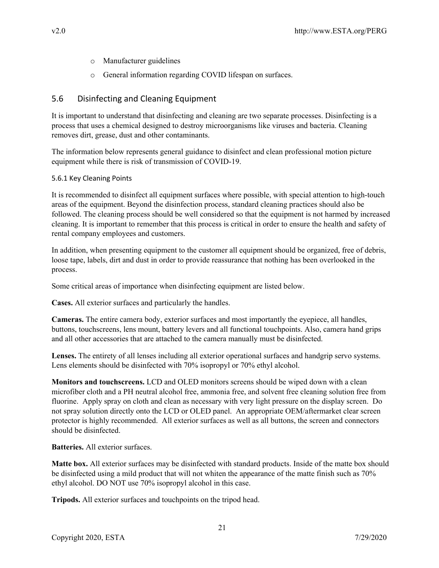- o Manufacturer guidelines
- o General information regarding COVID lifespan on surfaces.

# 5.6 Disinfecting and Cleaning Equipment

It is important to understand that disinfecting and cleaning are two separate processes. Disinfecting is a process that uses a chemical designed to destroy microorganisms like viruses and bacteria. Cleaning removes dirt, grease, dust and other contaminants.

The information below represents general guidance to disinfect and clean professional motion picture equipment while there is risk of transmission of COVID-19.

## 5.6.1 Key Cleaning Points

It is recommended to disinfect all equipment surfaces where possible, with special attention to high-touch areas of the equipment. Beyond the disinfection process, standard cleaning practices should also be followed. The cleaning process should be well considered so that the equipment is not harmed by increased cleaning. It is important to remember that this process is critical in order to ensure the health and safety of rental company employees and customers.

In addition, when presenting equipment to the customer all equipment should be organized, free of debris, loose tape, labels, dirt and dust in order to provide reassurance that nothing has been overlooked in the process.

Some critical areas of importance when disinfecting equipment are listed below.

**Cases.** All exterior surfaces and particularly the handles.

**Cameras.** The entire camera body, exterior surfaces and most importantly the eyepiece, all handles, buttons, touchscreens, lens mount, battery levers and all functional touchpoints. Also, camera hand grips and all other accessories that are attached to the camera manually must be disinfected.

**Lenses.** The entirety of all lenses including all exterior operational surfaces and handgrip servo systems. Lens elements should be disinfected with 70% isopropyl or 70% ethyl alcohol.

**Monitors and touchscreens.** LCD and OLED monitors screens should be wiped down with a clean microfiber cloth and a PH neutral alcohol free, ammonia free, and solvent free cleaning solution free from fluorine. Apply spray on cloth and clean as necessary with very light pressure on the display screen. Do not spray solution directly onto the LCD or OLED panel. An appropriate OEM/aftermarket clear screen protector is highly recommended. All exterior surfaces as well as all buttons, the screen and connectors should be disinfected.

## **Batteries.** All exterior surfaces.

**Matte box.** All exterior surfaces may be disinfected with standard products. Inside of the matte box should be disinfected using a mild product that will not whiten the appearance of the matte finish such as 70% ethyl alcohol. DO NOT use 70% isopropyl alcohol in this case.

**Tripods.** All exterior surfaces and touchpoints on the tripod head.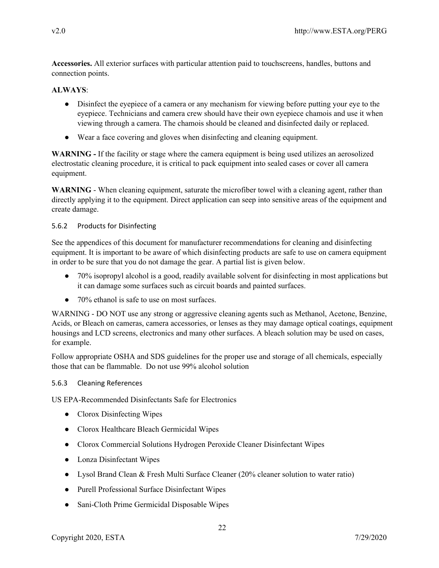**Accessories.** All exterior surfaces with particular attention paid to touchscreens, handles, buttons and connection points.

## **ALWAYS**:

- Disinfect the eyepiece of a camera or any mechanism for viewing before putting your eye to the eyepiece. Technicians and camera crew should have their own eyepiece chamois and use it when viewing through a camera. The chamois should be cleaned and disinfected daily or replaced.
- Wear a face covering and gloves when disinfecting and cleaning equipment.

**WARNING -** If the facility or stage where the camera equipment is being used utilizes an aerosolized electrostatic cleaning procedure, it is critical to pack equipment into sealed cases or cover all camera equipment.

**WARNING** - When cleaning equipment, saturate the microfiber towel with a cleaning agent, rather than directly applying it to the equipment. Direct application can seep into sensitive areas of the equipment and create damage.

## 5.6.2 Products for Disinfecting

See the appendices of this document for manufacturer recommendations for cleaning and disinfecting equipment. It is important to be aware of which disinfecting products are safe to use on camera equipment in order to be sure that you do not damage the gear. A partial list is given below.

- 70% isopropyl alcohol is a good, readily available solvent for disinfecting in most applications but it can damage some surfaces such as circuit boards and painted surfaces.
- 70% ethanol is safe to use on most surfaces.

WARNING - DO NOT use any strong or aggressive cleaning agents such as Methanol, Acetone, Benzine, Acids, or Bleach on cameras, camera accessories, or lenses as they may damage optical coatings, equipment housings and LCD screens, electronics and many other surfaces. A bleach solution may be used on cases, for example.

Follow appropriate OSHA and SDS guidelines for the proper use and storage of all chemicals, especially those that can be flammable. Do not use 99% alcohol solution

## 5.6.3 Cleaning References

US EPA-Recommended Disinfectants Safe for Electronics

- Clorox Disinfecting Wipes
- Clorox Healthcare Bleach Germicidal Wipes
- Clorox Commercial Solutions Hydrogen Peroxide Cleaner Disinfectant Wipes
- Lonza Disinfectant Wipes
- Lysol Brand Clean & Fresh Multi Surface Cleaner (20% cleaner solution to water ratio)
- Purell Professional Surface Disinfectant Wipes
- Sani-Cloth Prime Germicidal Disposable Wipes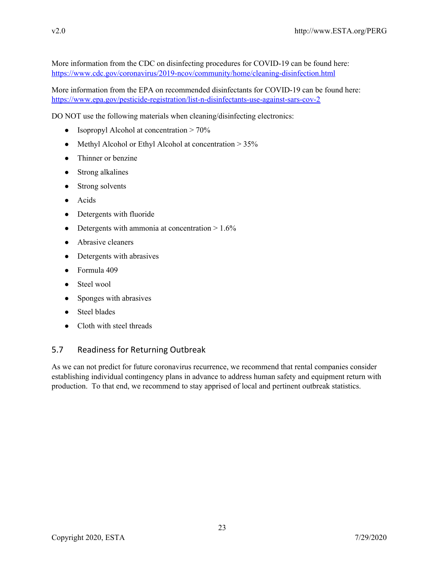More information from the CDC on disinfecting procedures for COVID-19 can be found here: <https://www.cdc.gov/coronavirus/2019-ncov/community/home/cleaning-disinfection.html>

More information from the EPA on recommended disinfectants for COVID-19 can be found here[:](https://www.epa.gov/pesticide-registration/list-n-disinfectants-use-against-sars-cov-2) <https://www.epa.gov/pesticide-registration/list-n-disinfectants-use-against-sars-cov-2>

DO NOT use the following materials when cleaning/disinfecting electronics:

- Isopropyl Alcohol at concentration  $> 70\%$
- Methyl Alcohol or Ethyl Alcohol at concentration > 35%
- Thinner or benzine
- Strong alkalines
- Strong solvents
- Acids
- Detergents with fluoride
- Detergents with ammonia at concentration  $> 1.6\%$
- Abrasive cleaners
- Detergents with abrasives
- Formula 409
- Steel wool
- Sponges with abrasives
- **Steel blades**
- Cloth with steel threads

## 5.7 Readiness for Returning Outbreak

As we can not predict for future coronavirus recurrence, we recommend that rental companies consider establishing individual contingency plans in advance to address human safety and equipment return with production. To that end, we recommend to stay apprised of local and pertinent outbreak statistics.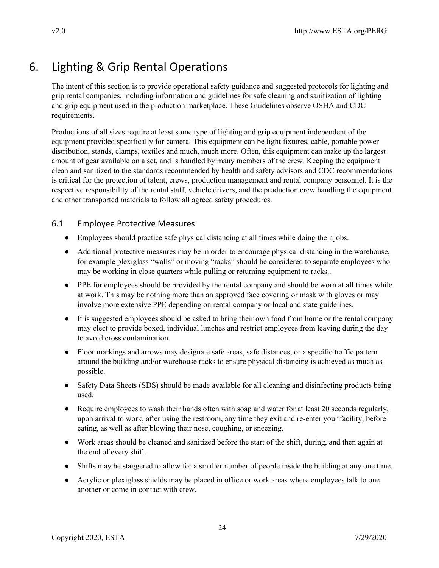# 6. Lighting & Grip Rental Operations

The intent of this section is to provide operational safety guidance and suggested protocols for lighting and grip rental companies, including information and guidelines for safe cleaning and sanitization of lighting and grip equipment used in the production marketplace. These Guidelines observe OSHA and CDC requirements.

Productions of all sizes require at least some type of lighting and grip equipment independent of the equipment provided specifically for camera. This equipment can be light fixtures, cable, portable power distribution, stands, clamps, textiles and much, much more. Often, this equipment can make up the largest amount of gear available on a set, and is handled by many members of the crew. Keeping the equipment clean and sanitized to the standards recommended by health and safety advisors and CDC recommendations is critical for the protection of talent, crews, production management and rental company personnel. It is the respective responsibility of the rental staff, vehicle drivers, and the production crew handling the equipment and other transported materials to follow all agreed safety procedures.

# 6.1 Employee Protective Measures

- Employees should practice safe physical distancing at all times while doing their jobs.
- Additional protective measures may be in order to encourage physical distancing in the warehouse, for example plexiglass "walls" or moving "racks" should be considered to separate employees who may be working in close quarters while pulling or returning equipment to racks..
- PPE for employees should be provided by the rental company and should be worn at all times while at work. This may be nothing more than an approved face covering or mask with gloves or may involve more extensive PPE depending on rental company or local and state guidelines.
- It is suggested employees should be asked to bring their own food from home or the rental company may elect to provide boxed, individual lunches and restrict employees from leaving during the day to avoid cross contamination.
- Floor markings and arrows may designate safe areas, safe distances, or a specific traffic pattern around the building and/or warehouse racks to ensure physical distancing is achieved as much as possible.
- Safety Data Sheets (SDS) should be made available for all cleaning and disinfecting products being used.
- Require employees to wash their hands often with soap and water for at least 20 seconds regularly, upon arrival to work, after using the restroom, any time they exit and re-enter your facility, before eating, as well as after blowing their nose, coughing, or sneezing.
- Work areas should be cleaned and sanitized before the start of the shift, during, and then again at the end of every shift.
- Shifts may be staggered to allow for a smaller number of people inside the building at any one time.
- Acrylic or plexiglass shields may be placed in office or work areas where employees talk to one another or come in contact with crew.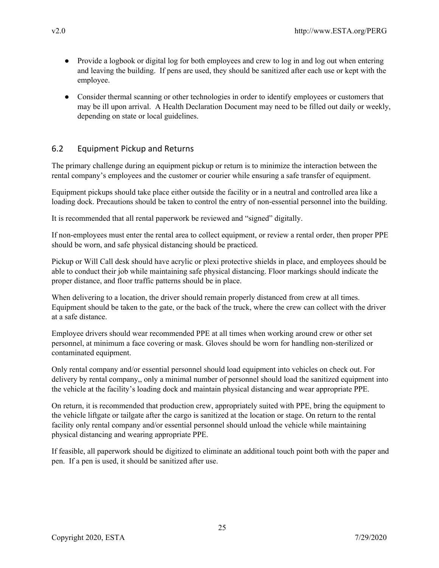- Provide a logbook or digital log for both employees and crew to log in and log out when entering and leaving the building. If pens are used, they should be sanitized after each use or kept with the employee.
- Consider thermal scanning or other technologies in order to identify employees or customers that may be ill upon arrival. A Health Declaration Document may need to be filled out daily or weekly, depending on state or local guidelines.

# 6.2 Equipment Pickup and Returns

The primary challenge during an equipment pickup or return is to minimize the interaction between the rental company's employees and the customer or courier while ensuring a safe transfer of equipment.

Equipment pickups should take place either outside the facility or in a neutral and controlled area like a loading dock. Precautions should be taken to control the entry of non-essential personnel into the building.

It is recommended that all rental paperwork be reviewed and "signed" digitally.

If non-employees must enter the rental area to collect equipment, or review a rental order, then proper PPE should be worn, and safe physical distancing should be practiced.

Pickup or Will Call desk should have acrylic or plexi protective shields in place, and employees should be able to conduct their job while maintaining safe physical distancing. Floor markings should indicate the proper distance, and floor traffic patterns should be in place.

When delivering to a location, the driver should remain properly distanced from crew at all times. Equipment should be taken to the gate, or the back of the truck, where the crew can collect with the driver at a safe distance.

Employee drivers should wear recommended PPE at all times when working around crew or other set personnel, at minimum a face covering or mask. Gloves should be worn for handling non-sterilized or contaminated equipment.

Only rental company and/or essential personnel should load equipment into vehicles on check out. For delivery by rental company,, only a minimal number of personnel should load the sanitized equipment into the vehicle at the facility's loading dock and maintain physical distancing and wear appropriate PPE.

On return, it is recommended that production crew, appropriately suited with PPE, bring the equipment to the vehicle liftgate or tailgate after the cargo is sanitized at the location or stage. On return to the rental facility only rental company and/or essential personnel should unload the vehicle while maintaining physical distancing and wearing appropriate PPE.

If feasible, all paperwork should be digitized to eliminate an additional touch point both with the paper and pen. If a pen is used, it should be sanitized after use.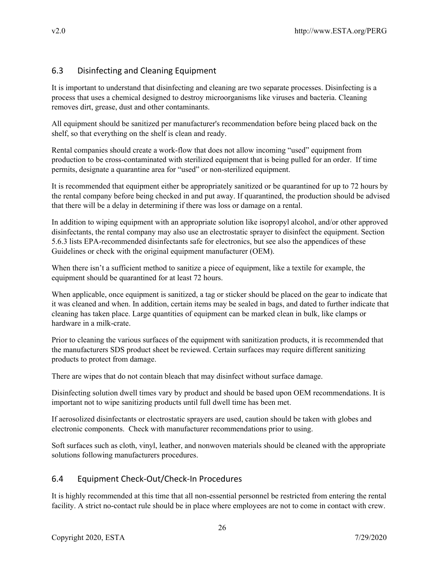# 6.3 Disinfecting and Cleaning Equipment

It is important to understand that disinfecting and cleaning are two separate processes. Disinfecting is a process that uses a chemical designed to destroy microorganisms like viruses and bacteria. Cleaning removes dirt, grease, dust and other contaminants.

All equipment should be sanitized per manufacturer's recommendation before being placed back on the shelf, so that everything on the shelf is clean and ready.

Rental companies should create a work-flow that does not allow incoming "used" equipment from production to be cross-contaminated with sterilized equipment that is being pulled for an order. If time permits, designate a quarantine area for "used" or non-sterilized equipment.

It is recommended that equipment either be appropriately sanitized or be quarantined for up to 72 hours by the rental company before being checked in and put away. If quarantined, the production should be advised that there will be a delay in determining if there was loss or damage on a rental.

In addition to wiping equipment with an appropriate solution like isopropyl alcohol, and/or other approved disinfectants, the rental company may also use an electrostatic sprayer to disinfect the equipment. Section 5.6.3 lists EPA-recommended disinfectants safe for electronics, but see also the appendices of these Guidelines or check with the original equipment manufacturer (OEM).

When there isn't a sufficient method to sanitize a piece of equipment, like a textile for example, the equipment should be quarantined for at least 72 hours.

When applicable, once equipment is sanitized, a tag or sticker should be placed on the gear to indicate that it was cleaned and when. In addition, certain items may be sealed in bags, and dated to further indicate that cleaning has taken place. Large quantities of equipment can be marked clean in bulk, like clamps or hardware in a milk-crate.

Prior to cleaning the various surfaces of the equipment with sanitization products, it is recommended that the manufacturers SDS product sheet be reviewed. Certain surfaces may require different sanitizing products to protect from damage.

There are wipes that do not contain bleach that may disinfect without surface damage.

Disinfecting solution dwell times vary by product and should be based upon OEM recommendations. It is important not to wipe sanitizing products until full dwell time has been met.

If aerosolized disinfectants or electrostatic sprayers are used, caution should be taken with globes and electronic components. Check with manufacturer recommendations prior to using.

Soft surfaces such as cloth, vinyl, leather, and nonwoven materials should be cleaned with the appropriate solutions following manufacturers procedures.

# 6.4 Equipment Check-Out/Check-In Procedures

It is highly recommended at this time that all non-essential personnel be restricted from entering the rental facility. A strict no-contact rule should be in place where employees are not to come in contact with crew.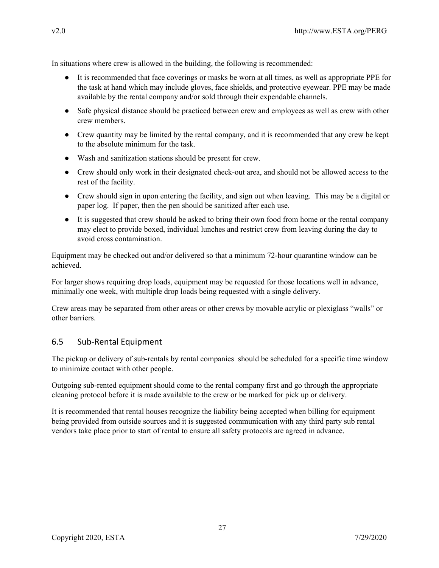In situations where crew is allowed in the building, the following is recommended:

- It is recommended that face coverings or masks be worn at all times, as well as appropriate PPE for the task at hand which may include gloves, face shields, and protective eyewear. PPE may be made available by the rental company and/or sold through their expendable channels.
- Safe physical distance should be practiced between crew and employees as well as crew with other crew members.
- Crew quantity may be limited by the rental company, and it is recommended that any crew be kept to the absolute minimum for the task.
- Wash and sanitization stations should be present for crew.
- Crew should only work in their designated check-out area, and should not be allowed access to the rest of the facility.
- Crew should sign in upon entering the facility, and sign out when leaving. This may be a digital or paper log. If paper, then the pen should be sanitized after each use.
- It is suggested that crew should be asked to bring their own food from home or the rental company may elect to provide boxed, individual lunches and restrict crew from leaving during the day to avoid cross contamination.

Equipment may be checked out and/or delivered so that a minimum 72-hour quarantine window can be achieved.

For larger shows requiring drop loads, equipment may be requested for those locations well in advance, minimally one week, with multiple drop loads being requested with a single delivery.

Crew areas may be separated from other areas or other crews by movable acrylic or plexiglass "walls" or other barriers.

# 6.5 Sub-Rental Equipment

The pickup or delivery of sub-rentals by rental companies should be scheduled for a specific time window to minimize contact with other people.

Outgoing sub-rented equipment should come to the rental company first and go through the appropriate cleaning protocol before it is made available to the crew or be marked for pick up or delivery.

It is recommended that rental houses recognize the liability being accepted when billing for equipment being provided from outside sources and it is suggested communication with any third party sub rental vendors take place prior to start of rental to ensure all safety protocols are agreed in advance.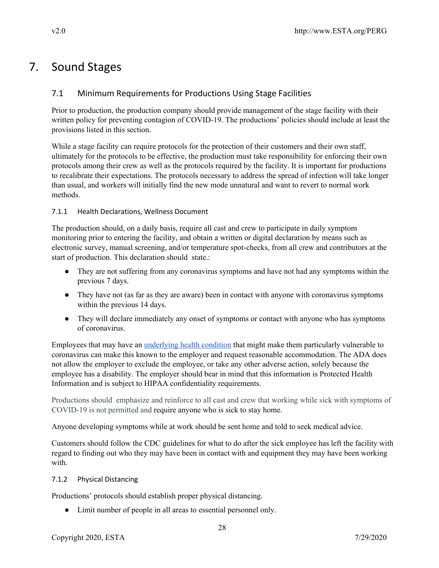# 7. Sound Stages

# 7.1 Minimum Requirements for Productions Using Stage Facilities

Prior to production, the production company should provide management of the stage facility with their written policy for preventing contagion of COVID-19. The productions' policies should include at least the provisions listed in this section.

While a stage facility can require protocols for the protection of their customers and their own staff, ultimately for the protocols to be effective, the production must take responsibility for enforcing their own protocols among their crew as well as the protocols required by the facility. It is important for productions to recalibrate their expectations. The protocols necessary to address the spread of infection will take longer than usual, and workers will initially find the new mode unnatural and want to revert to normal work methods.

## 7.1.1 Health Declarations, Wellness Document

The production should, on a daily basis, require all cast and crew to participate in daily symptom monitoring prior to entering the facility, and obtain a written or digital declaration by means such as electronic survey, manual screening, and/or temperature spot-checks, from all crew and contributors at the start of production. This declaration should state.:

- They are not suffering from any coronavirus symptoms and have not had any symptoms within the previous 7 days.
- They have not (as far as they are aware) been in contact with anyone with coronavirus symptoms within the previous 14 days.
- They will declare immediately any onset of symptoms or contact with anyone who has symptoms of coronavirus.

Employees that may have an [underlying](https://www.cdc.gov/coronavirus/2019-ncov/need-extra-precautions/people-at-higher-risk.html) health condition that might make them particularly vulnerable to coronavirus can make this known to the employer and request reasonable accommodation. The ADA does not allow the employer to exclude the employee, or take any other adverse action, solely because the employee has a disability. The employer should bear in mind that this information is Protected Health Information and is subject to HIPAA confidentiality requirements.

Productions should emphasize and reinforce to all cast and crew that working while sick with symptoms of COVID-19 is not permitted and require anyone who is sick to stay home.

Anyone developing symptoms while at work should be sent home and told to seek medical advice.

Customers should follow the CDC guidelines for what to do after the sick employee has left the facility with regard to finding out who they may have been in contact with and equipment they may have been working with.

## 7.1.2 Physical Distancing

Productions' protocols should establish proper physical distancing.

● Limit number of people in all areas to essential personnel only.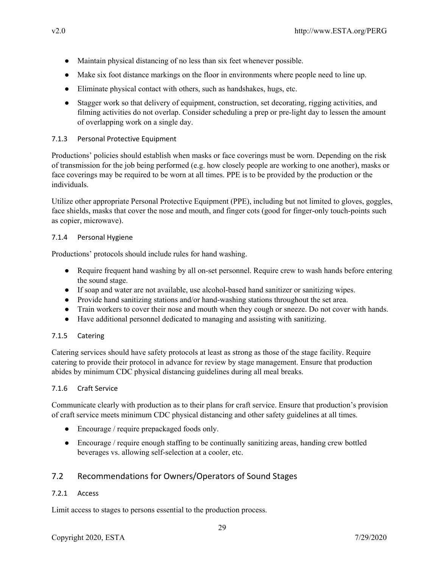- Maintain physical distancing of no less than six feet whenever possible.
- Make six foot distance markings on the floor in environments where people need to line up.
- Eliminate physical contact with others, such as handshakes, hugs, etc.
- Stagger work so that delivery of equipment, construction, set decorating, rigging activities, and filming activities do not overlap. Consider scheduling a prep or pre-light day to lessen the amount of overlapping work on a single day.

## 7.1.3 Personal Protective Equipment

Productions' policies should establish when masks or face coverings must be worn. Depending on the risk of transmission for the job being performed (e.g. how closely people are working to one another), masks or face coverings may be required to be worn at all times. PPE is to be provided by the production or the individuals.

Utilize other appropriate Personal Protective Equipment (PPE), including but not limited to gloves, goggles, face shields, masks that cover the nose and mouth, and finger cots (good for finger-only touch-points such as copier, microwave).

### 7.1.4 Personal Hygiene

Productions' protocols should include rules for hand washing.

- Require frequent hand washing by all on-set personnel. Require crew to wash hands before entering the sound stage.
- If soap and water are not available, use alcohol-based hand sanitizer or sanitizing wipes.
- Provide hand sanitizing stations and/or hand-washing stations throughout the set area.
- Train workers to cover their nose and mouth when they cough or sneeze. Do not cover with hands.
- Have additional personnel dedicated to managing and assisting with sanitizing.

## 7.1.5 Catering

Catering services should have safety protocols at least as strong as those of the stage facility. Require catering to provide their protocol in advance for review by stage management. Ensure that production abides by minimum CDC physical distancing guidelines during all meal breaks.

#### 7.1.6 Craft Service

Communicate clearly with production as to their plans for craft service. Ensure that production's provision of craft service meets minimum CDC physical distancing and other safety guidelines at all times.

- Encourage / require prepackaged foods only.
- Encourage / require enough staffing to be continually sanitizing areas, handing crew bottled beverages vs. allowing self-selection at a cooler, etc.

# 7.2 Recommendations for Owners/Operators of Sound Stages

## 7.2.1 Access

Limit access to stages to persons essential to the production process.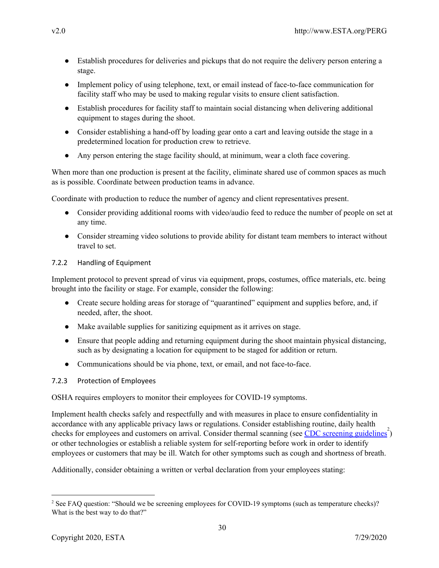- Establish procedures for deliveries and pickups that do not require the delivery person entering a stage.
- Implement policy of using telephone, text, or email instead of face-to-face communication for facility staff who may be used to making regular visits to ensure client satisfaction.
- Establish procedures for facility staff to maintain social distancing when delivering additional equipment to stages during the shoot.
- Consider establishing a hand-off by loading gear onto a cart and leaving outside the stage in a predetermined location for production crew to retrieve.
- Any person entering the stage facility should, at minimum, wear a cloth face covering.

When more than one production is present at the facility, eliminate shared use of common spaces as much as is possible. Coordinate between production teams in advance.

Coordinate with production to reduce the number of agency and client representatives present.

- Consider providing additional rooms with video/audio feed to reduce the number of people on set at any time.
- Consider streaming video solutions to provide ability for distant team members to interact without travel to set.

## 7.2.2 Handling of Equipment

Implement protocol to prevent spread of virus via equipment, props, costumes, office materials, etc. being brought into the facility or stage. For example, consider the following:

- Create secure holding areas for storage of "quarantined" equipment and supplies before, and, if needed, after, the shoot.
- Make available supplies for sanitizing equipment as it arrives on stage.
- Ensure that people adding and returning equipment during the shoot maintain physical distancing, such as by designating a location for equipment to be staged for addition or return.
- Communications should be via phone, text, or email, and not face-to-face.

## 7.2.3 Protection of Employees

OSHA requires employers to monitor their employees for COVID-19 symptoms.

Implement health checks safely and respectfully and with measures in place to ensure confidentiality in accordance with any applicable privacy laws or regulations. Consider establishing routine, daily health checks for employees and customers on arrival. Consider thermal scanning (see CDC screening [guidelines](https://www.cdc.gov/coronavirus/2019-ncov/community/general-business-faq.html)<sup>2</sup>) or other technologies or establish a reliable system for self-reporting before work in order to identify employees or customers that may be ill. Watch for other symptoms such as cough and shortness of breath.

Additionally, consider obtaining a written or verbal declaration from your employees stating:

<sup>&</sup>lt;sup>2</sup> See FAQ question: "Should we be screening employees for COVID-19 symptoms (such as temperature checks)? What is the best way to do that?"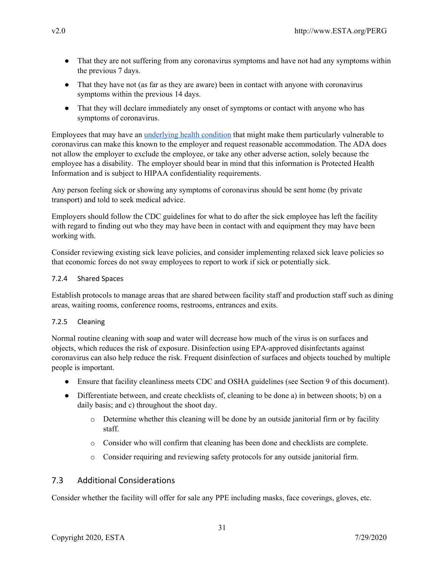- That they are not suffering from any coronavirus symptoms and have not had any symptoms within the previous 7 days.
- That they have not (as far as they are aware) been in contact with anyone with coronavirus symptoms within the previous 14 days.
- That they will declare immediately any onset of symptoms or contact with anyone who has symptoms of coronavirus.

Employees that may have an [underlying](https://www.cdc.gov/coronavirus/2019-ncov/need-extra-precautions/people-at-higher-risk.html) health condition that might make them particularly vulnerable to coronavirus can make this known to the employer and request reasonable accommodation. The ADA does not allow the employer to exclude the employee, or take any other adverse action, solely because the employee has a disability. The employer should bear in mind that this information is Protected Health Information and is subject to HIPAA confidentiality requirements.

Any person feeling sick or showing any symptoms of coronavirus should be sent home (by private transport) and told to seek medical advice.

Employers should follow the CDC guidelines for what to do after the sick employee has left the facility with regard to finding out who they may have been in contact with and equipment they may have been working with.

Consider reviewing existing sick leave policies, and consider implementing relaxed sick leave policies so that economic forces do not sway employees to report to work if sick or potentially sick.

## 7.2.4 Shared Spaces

Establish protocols to manage areas that are shared between facility staff and production staff such as dining areas, waiting rooms, conference rooms, restrooms, entrances and exits.

## 7.2.5 Cleaning

Normal routine cleaning with soap and water will decrease how much of the virus is on surfaces and objects, which reduces the risk of exposure. Disinfection using EPA-approved disinfectants against coronavirus can also help reduce the risk. Frequent disinfection of surfaces and objects touched by multiple people is important.

- Ensure that facility cleanliness meets CDC and OSHA guidelines (see Section 9 of this document).
- Differentiate between, and create checklists of, cleaning to be done a) in between shoots; b) on a daily basis; and c) throughout the shoot day.
	- $\circ$  Determine whether this cleaning will be done by an outside janitorial firm or by facility staff.
	- o Consider who will confirm that cleaning has been done and checklists are complete.
	- o Consider requiring and reviewing safety protocols for any outside janitorial firm.

# 7.3 Additional Considerations

Consider whether the facility will offer for sale any PPE including masks, face coverings, gloves, etc.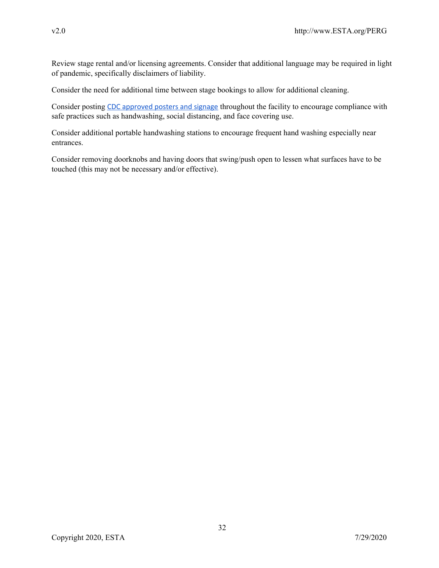Review stage rental and/or licensing agreements. Consider that additional language may be required in light of pandemic, specifically disclaimers of liability.

Consider the need for additional time between stage bookings to allow for additional cleaning.

Consider posting CDC [approved](https://www.cdc.gov/coronavirus/2019-ncov/communication/print-resources.html?Sort=Date::desc) posters and signage throughout the facility to encourage compliance with safe practices such as handwashing, social distancing, and face covering use.

Consider additional portable handwashing stations to encourage frequent hand washing especially near entrances.

Consider removing doorknobs and having doors that swing/push open to lessen what surfaces have to be touched (this may not be necessary and/or effective).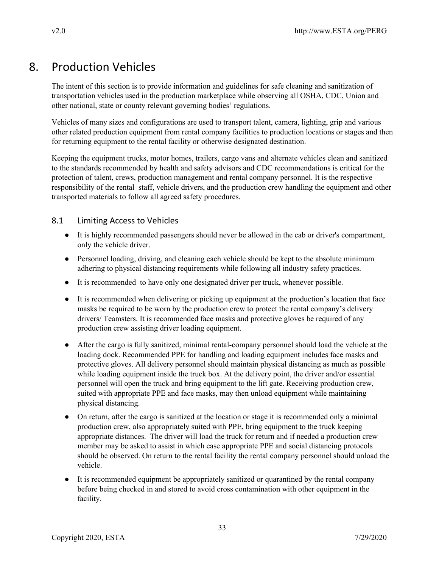# 8. Production Vehicles

The intent of this section is to provide information and guidelines for safe cleaning and sanitization of transportation vehicles used in the production marketplace while observing all OSHA, CDC, Union and other national, state or county relevant governing bodies' regulations.

Vehicles of many sizes and configurations are used to transport talent, camera, lighting, grip and various other related production equipment from rental company facilities to production locations or stages and then for returning equipment to the rental facility or otherwise designated destination.

Keeping the equipment trucks, motor homes, trailers, cargo vans and alternate vehicles clean and sanitized to the standards recommended by health and safety advisors and CDC recommendations is critical for the protection of talent, crews, production management and rental company personnel. It is the respective responsibility of the rental staff, vehicle drivers, and the production crew handling the equipment and other transported materials to follow all agreed safety procedures.

# 8.1 Limiting Access to Vehicles

- It is highly recommended passengers should never be allowed in the cab or driver's compartment, only the vehicle driver.
- Personnel loading, driving, and cleaning each vehicle should be kept to the absolute minimum adhering to physical distancing requirements while following all industry safety practices.
- It is recommended to have only one designated driver per truck, whenever possible.
- It is recommended when delivering or picking up equipment at the production's location that face masks be required to be worn by the production crew to protect the rental company's delivery drivers/ Teamsters. It is recommended face masks and protective gloves be required of any production crew assisting driver loading equipment.
- After the cargo is fully sanitized, minimal rental-company personnel should load the vehicle at the loading dock. Recommended PPE for handling and loading equipment includes face masks and protective gloves. All delivery personnel should maintain physical distancing as much as possible while loading equipment inside the truck box. At the delivery point, the driver and/or essential personnel will open the truck and bring equipment to the lift gate. Receiving production crew, suited with appropriate PPE and face masks, may then unload equipment while maintaining physical distancing.
- On return, after the cargo is sanitized at the location or stage it is recommended only a minimal production crew, also appropriately suited with PPE, bring equipment to the truck keeping appropriate distances. The driver will load the truck for return and if needed a production crew member may be asked to assist in which case appropriate PPE and social distancing protocols should be observed. On return to the rental facility the rental company personnel should unload the vehicle.
- It is recommended equipment be appropriately sanitized or quarantined by the rental company before being checked in and stored to avoid cross contamination with other equipment in the facility.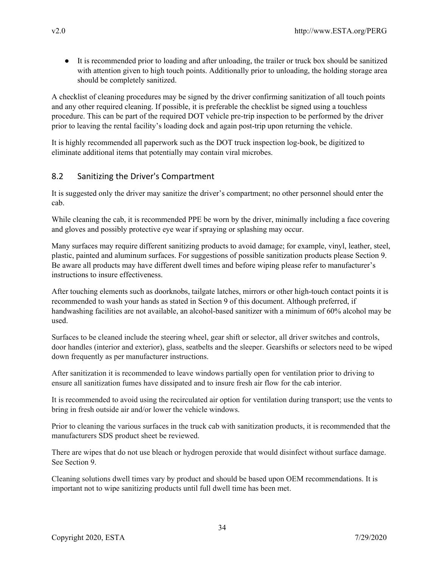● It is recommended prior to loading and after unloading, the trailer or truck box should be sanitized with attention given to high touch points. Additionally prior to unloading, the holding storage area should be completely sanitized.

A checklist of cleaning procedures may be signed by the driver confirming sanitization of all touch points and any other required cleaning. If possible, it is preferable the checklist be signed using a touchless procedure. This can be part of the required DOT vehicle pre-trip inspection to be performed by the driver prior to leaving the rental facility's loading dock and again post-trip upon returning the vehicle.

It is highly recommended all paperwork such as the DOT truck inspection log-book, be digitized to eliminate additional items that potentially may contain viral microbes.

# 8.2 Sanitizing the Driver's Compartment

It is suggested only the driver may sanitize the driver's compartment; no other personnel should enter the cab.

While cleaning the cab, it is recommended PPE be worn by the driver, minimally including a face covering and gloves and possibly protective eye wear if spraying or splashing may occur.

Many surfaces may require different sanitizing products to avoid damage; for example, vinyl, leather, steel, plastic, painted and aluminum surfaces. For suggestions of possible sanitization products please Section 9. Be aware all products may have different dwell times and before wiping please refer to manufacturer's instructions to insure effectiveness.

After touching elements such as doorknobs, tailgate latches, mirrors or other high-touch contact points it is recommended to wash your hands as stated in Section 9 of this document. Although preferred, if handwashing facilities are not available, an alcohol-based sanitizer with a minimum of 60% alcohol may be used.

Surfaces to be cleaned include the steering wheel, gear shift or selector, all driver switches and controls, door handles (interior and exterior), glass, seatbelts and the sleeper. Gearshifts or selectors need to be wiped down frequently as per manufacturer instructions.

After sanitization it is recommended to leave windows partially open for ventilation prior to driving to ensure all sanitization fumes have dissipated and to insure fresh air flow for the cab interior.

It is recommended to avoid using the recirculated air option for ventilation during transport; use the vents to bring in fresh outside air and/or lower the vehicle windows.

Prior to cleaning the various surfaces in the truck cab with sanitization products, it is recommended that the manufacturers SDS product sheet be reviewed.

There are wipes that do not use bleach or hydrogen peroxide that would disinfect without surface damage. See Section 9.

Cleaning solutions dwell times vary by product and should be based upon OEM recommendations. It is important not to wipe sanitizing products until full dwell time has been met.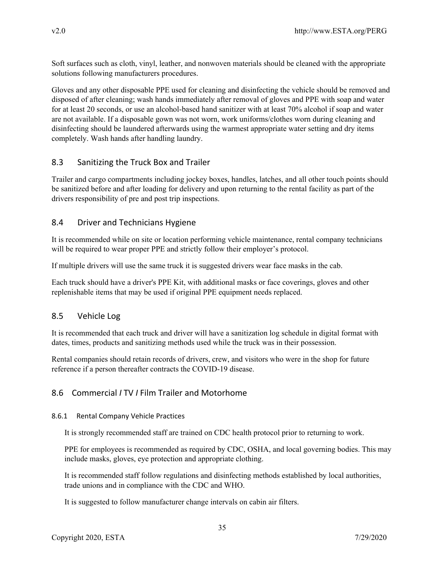Soft surfaces such as cloth, vinyl, leather, and nonwoven materials should be cleaned with the appropriate solutions following manufacturers procedures.

Gloves and any other disposable PPE used for cleaning and disinfecting the vehicle should be removed and disposed of after cleaning; wash hands immediately after removal of gloves and PPE with soap and water for at least 20 seconds, or use an alcohol-based hand sanitizer with at least 70% alcohol if soap and water are not available. If a disposable gown was not worn, work uniforms/clothes worn during cleaning and disinfecting should be laundered afterwards using the warmest appropriate water setting and dry items completely. Wash hands after handling laundry.

# 8.3 Sanitizing the Truck Box and Trailer

Trailer and cargo compartments including jockey boxes, handles, latches, and all other touch points should be sanitized before and after loading for delivery and upon returning to the rental facility as part of the drivers responsibility of pre and post trip inspections.

# 8.4 Driver and Technicians Hygiene

It is recommended while on site or location performing vehicle maintenance, rental company technicians will be required to wear proper PPE and strictly follow their employer's protocol.

If multiple drivers will use the same truck it is suggested drivers wear face masks in the cab.

Each truck should have a driver's PPE Kit, with additional masks or face coverings, gloves and other replenishable items that may be used if original PPE equipment needs replaced.

# 8.5 Vehicle Log

It is recommended that each truck and driver will have a sanitization log schedule in digital format with dates, times, products and sanitizing methods used while the truck was in their possession.

Rental companies should retain records of drivers, crew, and visitors who were in the shop for future reference if a person thereafter contracts the COVID-19 disease.

# 8.6 Commercial *I* TV *I* Film Trailer and Motorhome

## 8.6.1 Rental Company Vehicle Practices

It is strongly recommended staff are trained on CDC health protocol prior to returning to work.

PPE for employees is recommended as required by CDC, OSHA, and local governing bodies. This may include masks, gloves, eye protection and appropriate clothing.

It is recommended staff follow regulations and disinfecting methods established by local authorities, trade unions and in compliance with the CDC and WHO.

It is suggested to follow manufacturer change intervals on cabin air filters.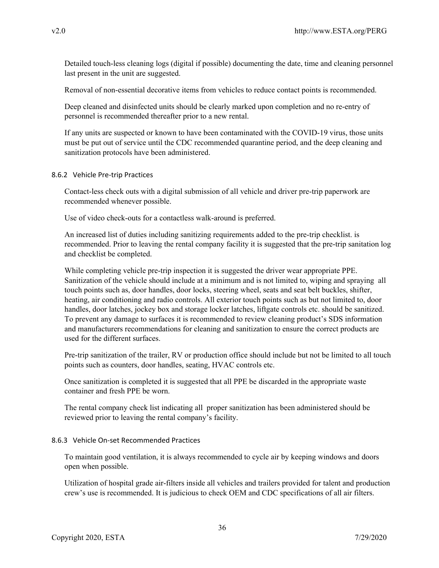Detailed touch-less cleaning logs (digital if possible) documenting the date, time and cleaning personnel last present in the unit are suggested.

Removal of non-essential decorative items from vehicles to reduce contact points is recommended.

Deep cleaned and disinfected units should be clearly marked upon completion and no re-entry of personnel is recommended thereafter prior to a new rental.

If any units are suspected or known to have been contaminated with the COVID-19 virus, those units must be put out of service until the CDC recommended quarantine period, and the deep cleaning and sanitization protocols have been administered.

#### 8.6.2 Vehicle Pre-trip Practices

Contact-less check outs with a digital submission of all vehicle and driver pre-trip paperwork are recommended whenever possible.

Use of video check-outs for a contactless walk-around is preferred.

An increased list of duties including sanitizing requirements added to the pre-trip checklist. is recommended. Prior to leaving the rental company facility it is suggested that the pre-trip sanitation log and checklist be completed.

While completing vehicle pre-trip inspection it is suggested the driver wear appropriate PPE. Sanitization of the vehicle should include at a minimum and is not limited to, wiping and spraying all touch points such as, door handles, door locks, steering wheel, seats and seat belt buckles, shifter, heating, air conditioning and radio controls. All exterior touch points such as but not limited to, door handles, door latches, jockey box and storage locker latches, liftgate controls etc. should be sanitized. To prevent any damage to surfaces it is recommended to review cleaning product's SDS information and manufacturers recommendations for cleaning and sanitization to ensure the correct products are used for the different surfaces.

Pre-trip sanitization of the trailer, RV or production office should include but not be limited to all touch points such as counters, door handles, seating, HVAC controls etc.

Once sanitization is completed it is suggested that all PPE be discarded in the appropriate waste container and fresh PPE be worn.

The rental company check list indicating all proper sanitization has been administered should be reviewed prior to leaving the rental company's facility.

#### 8.6.3 Vehicle On-set Recommended Practices

To maintain good ventilation, it is always recommended to cycle air by keeping windows and doors open when possible.

Utilization of hospital grade air-filters inside all vehicles and trailers provided for talent and production crew's use is recommended. It is judicious to check OEM and CDC specifications of all air filters.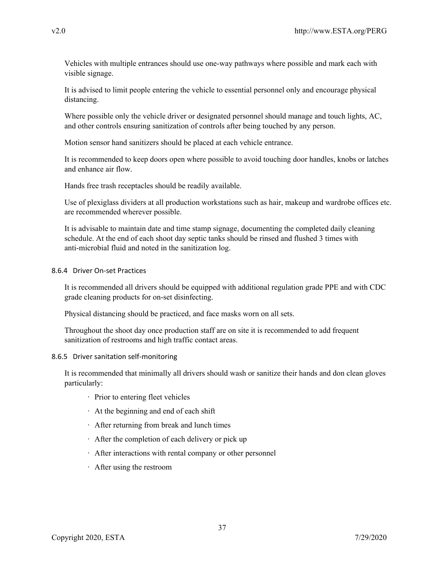Vehicles with multiple entrances should use one-way pathways where possible and mark each with visible signage.

It is advised to limit people entering the vehicle to essential personnel only and encourage physical distancing.

Where possible only the vehicle driver or designated personnel should manage and touch lights, AC, and other controls ensuring sanitization of controls after being touched by any person.

Motion sensor hand sanitizers should be placed at each vehicle entrance.

It is recommended to keep doors open where possible to avoid touching door handles, knobs or latches and enhance air flow.

Hands free trash receptacles should be readily available.

Use of plexiglass dividers at all production workstations such as hair, makeup and wardrobe offices etc. are recommended wherever possible.

It is advisable to maintain date and time stamp signage, documenting the completed daily cleaning schedule. At the end of each shoot day septic tanks should be rinsed and flushed 3 times with anti-microbial fluid and noted in the sanitization log.

#### 8.6.4 Driver On-set Practices

It is recommended all drivers should be equipped with additional regulation grade PPE and with CDC grade cleaning products for on-set disinfecting.

Physical distancing should be practiced, and face masks worn on all sets.

Throughout the shoot day once production staff are on site it is recommended to add frequent sanitization of restrooms and high traffic contact areas.

#### 8.6.5 Driver sanitation self-monitoring

It is recommended that minimally all drivers should wash or sanitize their hands and don clean gloves particularly:

- · Prior to entering fleet vehicles
- · At the beginning and end of each shift
- · After returning from break and lunch times
- · After the completion of each delivery or pick up
- · After interactions with rental company or other personnel
- · After using the restroom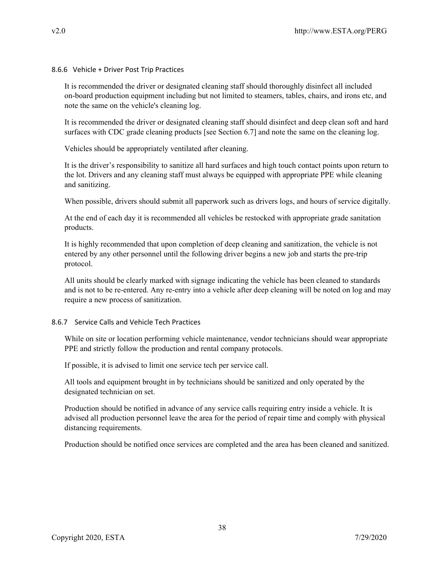8.6.6 Vehicle + Driver Post Trip Practices

It is recommended the driver or designated cleaning staff should thoroughly disinfect all included on-board production equipment including but not limited to steamers, tables, chairs, and irons etc, and note the same on the vehicle's cleaning log.

It is recommended the driver or designated cleaning staff should disinfect and deep clean soft and hard surfaces with CDC grade cleaning products [see Section 6.7] and note the same on the cleaning log.

Vehicles should be appropriately ventilated after cleaning.

It is the driver's responsibility to sanitize all hard surfaces and high touch contact points upon return to the lot. Drivers and any cleaning staff must always be equipped with appropriate PPE while cleaning and sanitizing.

When possible, drivers should submit all paperwork such as drivers logs, and hours of service digitally.

At the end of each day it is recommended all vehicles be restocked with appropriate grade sanitation products.

It is highly recommended that upon completion of deep cleaning and sanitization, the vehicle is not entered by any other personnel until the following driver begins a new job and starts the pre-trip protocol.

All units should be clearly marked with signage indicating the vehicle has been cleaned to standards and is not to be re-entered. Any re-entry into a vehicle after deep cleaning will be noted on log and may require a new process of sanitization.

#### 8.6.7 Service Calls and Vehicle Tech Practices

While on site or location performing vehicle maintenance, vendor technicians should wear appropriate PPE and strictly follow the production and rental company protocols.

If possible, it is advised to limit one service tech per service call.

All tools and equipment brought in by technicians should be sanitized and only operated by the designated technician on set.

Production should be notified in advance of any service calls requiring entry inside a vehicle. It is advised all production personnel leave the area for the period of repair time and comply with physical distancing requirements.

Production should be notified once services are completed and the area has been cleaned and sanitized.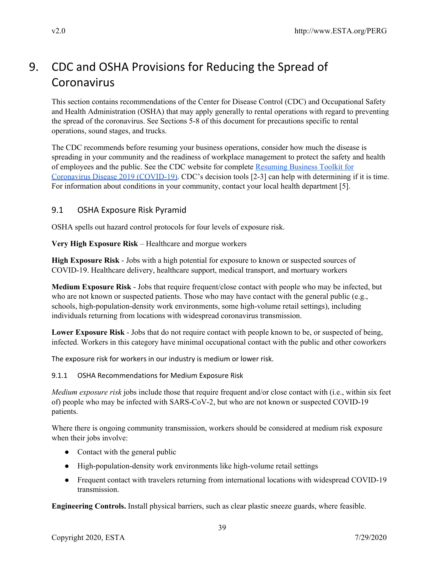# 9. CDC and OSHA Provisions for Reducing the Spread of Coronavirus

This section contains recommendations of the Center for Disease Control (CDC) and Occupational Safety and Health Administration (OSHA) that may apply generally to rental operations with regard to preventing the spread of the coronavirus. See Sections 5-8 of this document for precautions specific to rental operations, sound stages, and trucks.

The CDC recommends before resuming your business operations, consider how much the disease is spreading in your community and the readiness of workplace management to protect the safety and health of employees and the public. See the CDC website for complete [Resuming](https://www.cdc.gov/coronavirus/2019-ncov/community/resuming-business-toolkit.html) Business Toolkit for Coronavirus Disease 2019 [\(COVID-19\).](https://www.cdc.gov/coronavirus/2019-ncov/community/resuming-business-toolkit.html) CDC's decision tools [2-3] can help with determining if it is time. For information about conditions in your community, contact your local health department [5].

# 9.1 OSHA Exposure Risk Pyramid

OSHA spells out hazard control protocols for four levels of exposure risk.

**Very High Exposure Risk** – Healthcare and morgue workers

**High Exposure Risk** - Jobs with a high potential for exposure to known or suspected sources of COVID-19. Healthcare delivery, healthcare support, medical transport, and mortuary workers

**Medium Exposure Risk** - Jobs that require frequent/close contact with people who may be infected, but who are not known or suspected patients. Those who may have contact with the general public (e.g., schools, high-population-density work environments, some high-volume retail settings), including individuals returning from locations with widespread coronavirus transmission.

**Lower Exposure Risk** - Jobs that do not require contact with people known to be, or suspected of being, infected. Workers in this category have minimal occupational contact with the public and other coworkers

The exposure risk for workers in our industry is medium or lower risk.

9.1.1 OSHA Recommendations for Medium Exposure Risk

*Medium exposure risk* jobs include those that require frequent and/or close contact with (i.e., within six feet of) people who may be infected with SARS-CoV-2, but who are not known or suspected COVID-19 patients.

Where there is ongoing community transmission, workers should be considered at medium risk exposure when their jobs involve:

- Contact with the general public
- High-population-density work environments like high-volume retail settings
- Frequent contact with travelers returning from international locations with widespread COVID-19 transmission.

**Engineering Controls.** Install physical barriers, such as clear plastic sneeze guards, where feasible.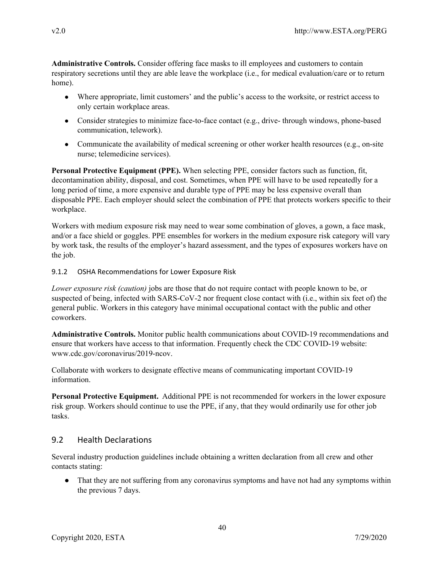**Administrative Controls.** Consider offering face masks to ill employees and customers to contain respiratory secretions until they are able leave the workplace (i.e., for medical evaluation/care or to return home).

- Where appropriate, limit customers' and the public's access to the worksite, or restrict access to only certain workplace areas.
- Consider strategies to minimize face-to-face contact (e.g., drive- through windows, phone-based communication, telework).
- Communicate the availability of medical screening or other worker health resources (e.g., on-site nurse; telemedicine services).

**Personal Protective Equipment (PPE).** When selecting PPE, consider factors such as function, fit, decontamination ability, disposal, and cost. Sometimes, when PPE will have to be used repeatedly for a long period of time, a more expensive and durable type of PPE may be less expensive overall than disposable PPE. Each employer should select the combination of PPE that protects workers specific to their workplace.

Workers with medium exposure risk may need to wear some combination of gloves, a gown, a face mask, and/or a face shield or goggles. PPE ensembles for workers in the medium exposure risk category will vary by work task, the results of the employer's hazard assessment, and the types of exposures workers have on the job.

#### 9.1.2 OSHA Recommendations for Lower Exposure Risk

*Lower exposure risk (caution)* jobs are those that do not require contact with people known to be, or suspected of being, infected with SARS-CoV-2 nor frequent close contact with (i.e., within six feet of) the general public. Workers in this category have minimal occupational contact with the public and other coworkers.

**Administrative Controls.** Monitor public health communications about COVID-19 recommendations and ensure that workers have access to that information. Frequently check the CDC COVID-19 website: www.cdc.gov/coronavirus/2019-ncov.

Collaborate with workers to designate effective means of communicating important COVID-19 information.

**Personal Protective Equipment.** Additional PPE is not recommended for workers in the lower exposure risk group. Workers should continue to use the PPE, if any, that they would ordinarily use for other job tasks.

## 9.2 Health Declarations

Several industry production guidelines include obtaining a written declaration from all crew and other contacts stating:

• That they are not suffering from any coronavirus symptoms and have not had any symptoms within the previous 7 days.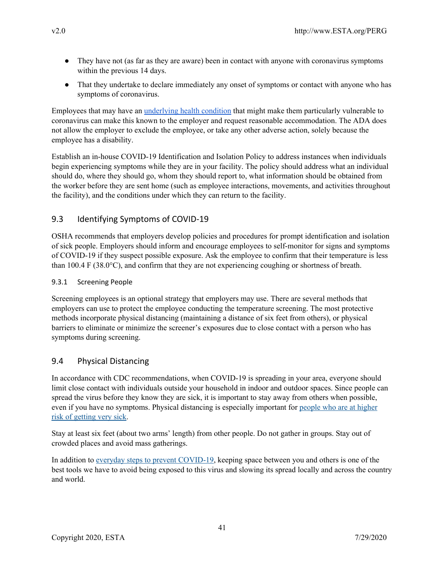- They have not (as far as they are aware) been in contact with anyone with coronavirus symptoms within the previous 14 days.
- That they undertake to declare immediately any onset of symptoms or contact with anyone who has symptoms of coronavirus.

Employees that may have an [underlying](https://www.cdc.gov/coronavirus/2019-ncov/need-extra-precautions/people-at-higher-risk.html) health condition that might make them particularly vulnerable to coronavirus can make this known to the employer and request reasonable accommodation. The ADA does not allow the employer to exclude the employee, or take any other adverse action, solely because the employee has a disability.

Establish an in-house COVID-19 Identification and Isolation Policy to address instances when individuals begin experiencing symptoms while they are in your facility. The policy should address what an individual should do, where they should go, whom they should report to, what information should be obtained from the worker before they are sent home (such as employee interactions, movements, and activities throughout the facility), and the conditions under which they can return to the facility.

# 9.3 Identifying Symptoms of COVID-19

OSHA recommends that employers develop policies and procedures for prompt identification and isolation of sick people. Employers should inform and encourage employees to self-monitor for signs and symptoms of COVID-19 if they suspect possible exposure. Ask the employee to confirm that their temperature is less than 100.4 F (38.0°C), and confirm that they are not experiencing coughing or shortness of breath.

### 9.3.1 Screening People

Screening employees is an optional strategy that employers may use. There are several methods that employers can use to protect the employee conducting the temperature screening. The most protective methods incorporate physical distancing (maintaining a distance of six feet from others), or physical barriers to eliminate or minimize the screener's exposures due to close contact with a person who has symptoms during screening.

# 9.4 Physical Distancing

In accordance with CDC recommendations, when COVID-19 is spreading in your area, everyone should limit close contact with individuals outside your household in indoor and outdoor spaces. Since people can spread the virus before they know they are sick, it is important to stay away from others when possible, even if you have no symptoms. Physical distancing is especially important for [people](https://www.cdc.gov/coronavirus/2019-ncov/need-extra-precautions/people-at-higher-risk.html) who are at higher risk of [getting](https://www.cdc.gov/coronavirus/2019-ncov/need-extra-precautions/people-at-higher-risk.html) very sick.

Stay at least six feet (about two arms' length) from other people. Do not gather in groups. Stay out of crowded places and avoid mass gatherings.

In addition to everyday steps to prevent [COVID-19](https://www.cdc.gov/coronavirus/2019-ncov/prevent-getting-sick/prevention.html), keeping space between you and others is one of the best tools we have to avoid being exposed to this virus and slowing its spread locally and across the country and world.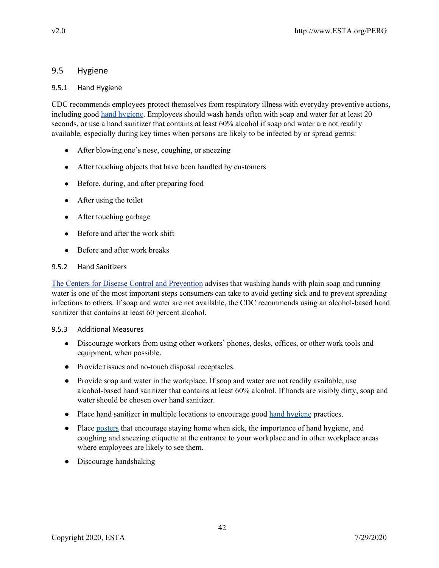## 9.5 Hygiene

### 9.5.1 Hand Hygiene

CDC recommends employees protect themselves from respiratory illness with everyday preventive actions, including good hand [hygiene.](https://www.cdc.gov/handwashing/when-how-handwashing.html) Employees should wash hands often with soap and water for at least 20 seconds, or use a hand sanitizer that contains at least 60% alcohol if soap and water are not readily available, especially during key times when persons are likely to be infected by or spread germs:

- After blowing one's nose, coughing, or sneezing
- After touching objects that have been handled by customers
- Before, during, and after preparing food
- After using the toilet
- After touching garbage
- Before and after the work shift
- Before and after work breaks

### 9.5.2 Hand Sanitizers

The Centers for Disease Control and [Prevention](https://www.cdc.gov/handwashing/) advises that washing hands with plain soap and running water is one of the most important steps consumers can take to avoid getting sick and to prevent spreading infections to others. If soap and water are not available, the CDC recommends using an alcohol-based hand sanitizer that contains at least 60 percent alcohol.

#### 9.5.3 Additional Measures

- Discourage workers from using other workers' phones, desks, offices, or other work tools and equipment, when possible.
- Provide tissues and no-touch disposal receptacles.
- Provide soap and water in the workplace. If soap and water are not readily available, use alcohol-based hand sanitizer that contains at least 60% alcohol. If hands are visibly dirty, soap and water should be chosen over hand sanitizer.
- Place hand sanitizer in multiple locations to encourage good hand [hygiene](https://www.cdc.gov/handwashing/materials.html) practices.
- Place [posters](https://www.cdc.gov/nonpharmaceutical-interventions/tools-resources/educational-materials.html) that encourage staying home when sick, the importance of hand hygiene, and coughing and sneezing etiquette at the entrance to your workplace and in other workplace areas where employees are likely to see them.
- Discourage handshaking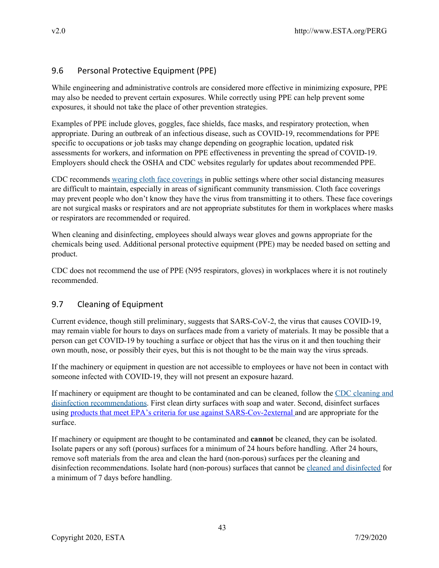# 9.6 Personal Protective Equipment (PPE)

While engineering and administrative controls are considered more effective in minimizing exposure, PPE may also be needed to prevent certain exposures. While correctly using PPE can help prevent some exposures, it should not take the place of other prevention strategies.

Examples of PPE include gloves, goggles, face shields, face masks, and respiratory protection, when appropriate. During an outbreak of an infectious disease, such as COVID-19, recommendations for PPE specific to occupations or job tasks may change depending on geographic location, updated risk assessments for workers, and information on PPE effectiveness in preventing the spread of COVID-19. Employers should check the OSHA and CDC websites regularly for updates about recommended PPE.

CDC recommends wearing cloth face [coverings](https://wcms-wp.cdc.gov/coronavirus/2019-ncov/prevent-getting-sick/diy-cloth-face-coverings.html) in public settings where other social distancing measures are difficult to maintain, especially in areas of significant community transmission. Cloth face coverings may prevent people who don't know they have the virus from transmitting it to others. These face coverings are not surgical masks or respirators and are not appropriate substitutes for them in workplaces where masks or respirators are recommended or required.

When cleaning and disinfecting, employees should always wear gloves and gowns appropriate for the chemicals being used. Additional personal protective equipment (PPE) may be needed based on setting and product.

CDC does not recommend the use of PPE (N95 respirators, gloves) in workplaces where it is not routinely recommended.

# 9.7 Cleaning of Equipment

Current evidence, though still preliminary, suggests that SARS-CoV-2, the virus that causes COVID-19, may remain viable for hours to days on surfaces made from a variety of materials. It may be possible that a person can get COVID-19 by touching a surface or object that has the virus on it and then touching their own mouth, nose, or possibly their eyes, but this is not thought to be the main way the virus spreads.

If the machinery or equipment in question are not accessible to employees or have not been in contact with someone infected with COVID-19, they will not present an exposure hazard.

If machinery or equipment are thought to be contaminated and can be cleaned, follow the CDC [cleaning](https://www.cdc.gov/coronavirus/2019-ncov/community/organizations/cleaning-disinfection.html) and disinfection [recommendations.](https://www.cdc.gov/coronavirus/2019-ncov/community/organizations/cleaning-disinfection.html) First clean dirty surfaces with soap and water. Second, disinfect surfaces using products that meet EPA's criteria for use against [SARS-Cov-2external](https://www.epa.gov/pesticide-registration/list-n-disinfectants-use-against-sars-cov-2) and are appropriate for the surface.

If machinery or equipment are thought to be contaminated and **cannot** be cleaned, they can be isolated. Isolate papers or any soft (porous) surfaces for a minimum of 24 hours before handling. After 24 hours, remove soft materials from the area and clean the hard (non-porous) surfaces per the cleaning and disinfection recommendations. Isolate hard (non-porous) surfaces that cannot be cleaned and [disinfected](https://www.cdc.gov/coronavirus/2019-ncov/community/organizations/cleaning-disinfection.html) for a minimum of 7 days before handling.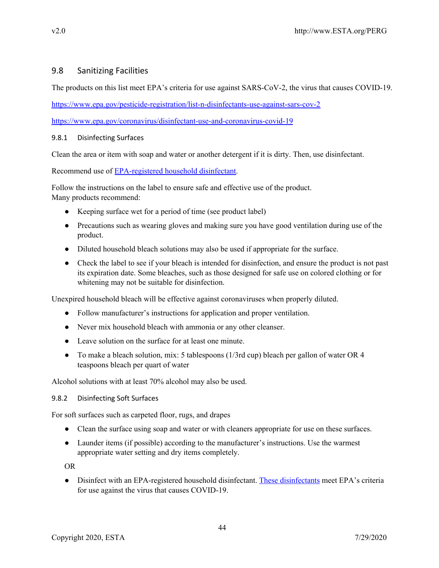# 9.8 Sanitizing Facilities

The products on this list meet EPA's criteria for use against SARS-CoV-2, the virus that causes COVID-19.

<https://www.epa.gov/pesticide-registration/list-n-disinfectants-use-against-sars-cov-2>

<https://www.epa.gov/coronavirus/disinfectant-use-and-coronavirus-covid-19>

## 9.8.1 Disinfecting Surfaces

Clean the area or item with soap and water or another detergent if it is dirty. Then, use disinfectant.

Recommend use of [EPA-registered](https://www.epa.gov/pesticide-registration/list-n-disinfectants-use-against-sars-cov-2) household disinfectant.

Follow the instructions on the label to ensure safe and effective use of the product. Many products recommend:

- Keeping surface wet for a period of time (see product label)
- Precautions such as wearing gloves and making sure you have good ventilation during use of the product.
- Diluted household bleach solutions may also be used if appropriate for the surface.
- Check the label to see if your bleach is intended for disinfection, and ensure the product is not past its expiration date. Some bleaches, such as those designed for safe use on colored clothing or for whitening may not be suitable for disinfection.

Unexpired household bleach will be effective against coronaviruses when properly diluted.

- Follow manufacturer's instructions for application and proper ventilation.
- Never mix household bleach with ammonia or any other cleanser.
- Leave solution on the surface for at least one minute.
- To make a bleach solution, mix: 5 tablespoons (1/3rd cup) bleach per gallon of water OR 4 teaspoons bleach per quart of water

Alcohol solutions with at least 70% alcohol may also be used.

#### 9.8.2 Disinfecting Soft Surfaces

For soft surfaces such as carpeted floor, rugs, and drapes

- Clean the surface using soap and water or with cleaners appropriate for use on these surfaces.
- Launder items (if possible) according to the manufacturer's instructions. Use the warmest appropriate water setting and dry items completely.

OR

• Disinfect with an EPA-registered household disinfectant. These [disinfectants](https://www.epa.gov/pesticide-registration/list-n-disinfectants-use-against-sars-cov-2) meet EPA's criteria for use against the virus that causes COVID-19.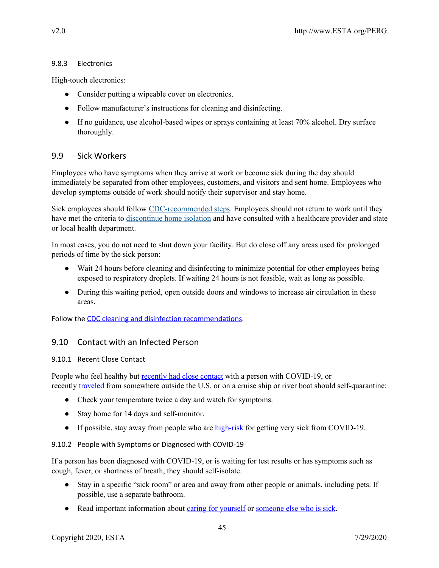## 9.8.3 Electronics

High-touch electronics:

- Consider putting a wipeable cover on electronics.
- Follow manufacturer's instructions for cleaning and disinfecting.
- If no guidance, use alcohol-based wipes or sprays containing at least 70% alcohol. Dry surface thoroughly.

## 9.9 Sick Workers

Employees who have symptoms when they arrive at work or become sick during the day should immediately be separated from other employees, customers, and visitors and sent home. Employees who develop symptoms outside of work should notify their supervisor and stay home.

Sick employees should follow [CDC-recommended](https://www.cdc.gov/coronavirus/2019-ncov/if-you-are-sick/steps-when-sick.html) steps. Employees should not return to work until they have met the criteria to [discontinue](https://www.cdc.gov/coronavirus/2019-ncov/hcp/disposition-in-home-patients.html) home isolation and have consulted with a healthcare provider and state or local health department.

In most cases, you do not need to shut down your facility. But do close off any areas used for prolonged periods of time by the sick person:

- Wait 24 hours before cleaning and disinfecting to minimize potential for other employees being exposed to respiratory droplets. If waiting 24 hours is not feasible, wait as long as possible.
- During this waiting period, open outside doors and windows to increase air circulation in these areas.

Follow the CDC cleaning and disinfection [recommendations.](https://www.cdc.gov/coronavirus/2019-ncov/community/organizations/cleaning-disinfection.html)

# 9.10 Contact with an Infected Person

## 9.10.1 Recent Close Contact

People who feel healthy but [recently](https://www.cdc.gov/coronavirus/2019-ncov/php/public-health-recommendations.html) had close contact with a person with COVID-19, or recently [traveled](https://www.cdc.gov/coronavirus/2019-ncov/php/risk-assessment.html) from somewhere outside the U.S. or on a cruise ship or river boat should self-quarantine:

- Check your temperature twice a day and watch for symptoms.
- Stay home for 14 days and self-monitor.
- If possible, stay away from people who are [high-risk](https://www.cdc.gov/coronavirus/2019-ncov/need-extra-precautions/index.html) for getting very sick from COVID-19.

## 9.10.2 People with Symptoms or Diagnosed with COVID-19

If a person has been diagnosed with COVID-19, or is waiting for test results or has symptoms such as cough, fever, or shortness of breath, they should self-isolate.

- Stay in a specific "sick room" or area and away from other people or animals, including pets. If possible, use a separate bathroom.
- Read important information about <u>caring for [yourself](https://www.cdc.gov/coronavirus/2019-ncov/if-you-are-sick/steps-when-sick.html)</u> or <u>[someone](https://www.cdc.gov/coronavirus/2019-ncov/if-you-are-sick/care-for-someone.html) else who is sick</u>.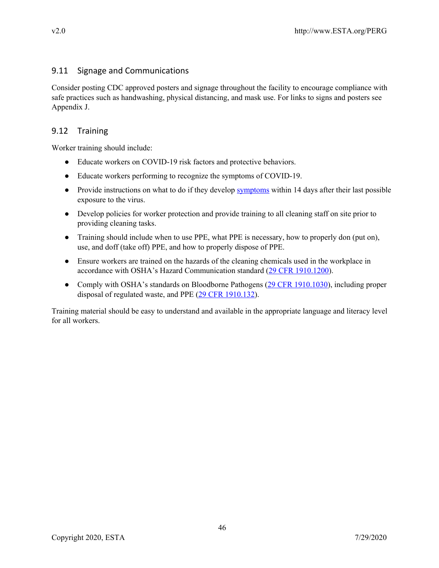# 9.11 Signage and Communications

Consider posting CDC approved posters and signage throughout the facility to encourage compliance with safe practices such as handwashing, physical distancing, and mask use. For links to signs and posters see Appendix J.

# 9.12 Training

Worker training should include:

- Educate workers on COVID-19 risk factors and protective behaviors.
- Educate workers performing to recognize the symptoms of COVID-19.
- Provide instructions on what to do if they develop **[symptoms](https://www.cdc.gov/coronavirus/2019-ncov/about/symptoms.html)** within 14 days after their last possible exposure to the virus.
- Develop policies for worker protection and provide training to all cleaning staff on site prior to providing cleaning tasks.
- Training should include when to use PPE, what PPE is necessary, how to properly don (put on), use, and doff (take off) PPE, and how to properly dispose of PPE.
- Ensure workers are trained on the hazards of the cleaning chemicals used in the workplace in accordance with OSHA's Hazard Communication standard (29 CFR [1910.1200\)](https://www.osha.gov/laws-regs/regulations/standardnumber/1910/1910.1200).
- Comply with OSHA's standards on Bloodborne Pathogens (29 CFR [1910.1030\)](https://www.osha.gov/laws-regs/regulations/standardnumber/1910/1910.1030), including proper disposal of regulated waste, and PPE (29 CFR [1910.132\)](https://www.osha.gov/laws-regs/regulations/standardnumber/1910/1910.132).

Training material should be easy to understand and available in the appropriate language and literacy level for all workers.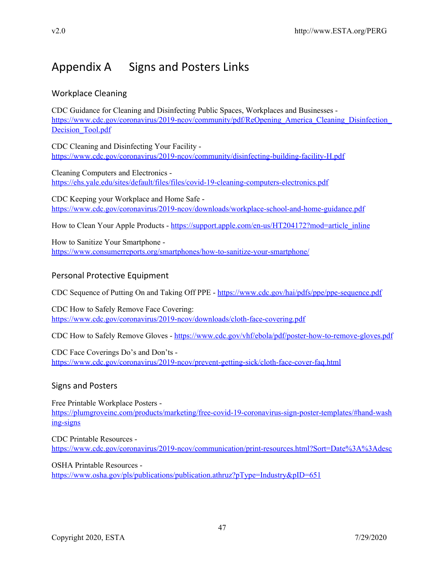# Appendix A Signs and Posters Links

# Workplace Cleaning

CDC Guidance for Cleaning and Disinfecting Public Spaces, Workplaces and Businesses https://www.cdc.gov/coronavirus/2019-ncov/community/pdf/ReOpening America Cleaning Disinfection Decision Tool.pdf

CDC Cleaning and Disinfecting Your Facility <https://www.cdc.gov/coronavirus/2019-ncov/community/disinfecting-building-facility-H.pdf>

Cleaning Computers and Electronics <https://ehs.yale.edu/sites/default/files/files/covid-19-cleaning-computers-electronics.pdf>

CDC Keeping your Workplace and Home Safe <https://www.cdc.gov/coronavirus/2019-ncov/downloads/workplace-school-and-home-guidance.pdf>

How to Clean Your Apple Products - [https://support.apple.com/en-us/HT204172?mod=article\\_inline](https://support.apple.com/en-us/HT204172?mod=article_inline)

How to Sanitize Your Smartphone <https://www.consumerreports.org/smartphones/how-to-sanitize-your-smartphone/>

# Personal Protective Equipment

CDC Sequence of Putting On and Taking Off PPE - <https://www.cdc.gov/hai/pdfs/ppe/ppe-sequence.pdf>

CDC How to Safely Remove Face Covering: <https://www.cdc.gov/coronavirus/2019-ncov/downloads/cloth-face-covering.pdf>

CDC How to Safely Remove Gloves - <https://www.cdc.gov/vhf/ebola/pdf/poster-how-to-remove-gloves.pdf>

CDC Face Coverings Do's and Don'ts <https://www.cdc.gov/coronavirus/2019-ncov/prevent-getting-sick/cloth-face-cover-faq.html>

# Signs and Posters

Free Printable Workplace Posters [https://plumgroveinc.com/products/marketing/free-covid-19-coronavirus-sign-poster-templates/#hand-wash](https://plumgroveinc.com/products/marketing/free-covid-19-coronavirus-sign-poster-templates/#hand-washing-signs) [ing-signs](https://plumgroveinc.com/products/marketing/free-covid-19-coronavirus-sign-poster-templates/#hand-washing-signs)

CDC Printable Resources <https://www.cdc.gov/coronavirus/2019-ncov/communication/print-resources.html?Sort=Date%3A%3Adesc>

OSHA Printable Resources <https://www.osha.gov/pls/publications/publication.athruz?pType=Industry&pID=651>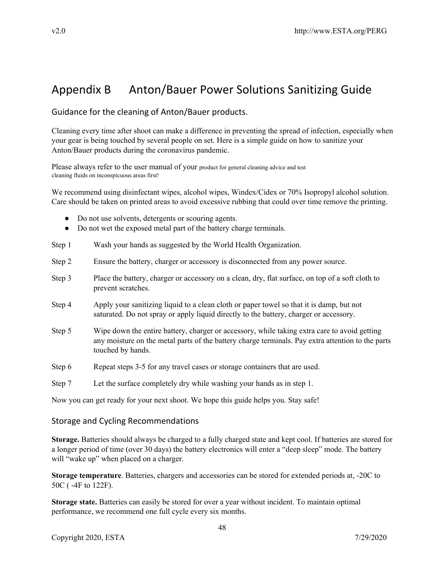# Appendix B Anton/Bauer Power Solutions Sanitizing Guide

Guidance for the cleaning of Anton/Bauer products.

Cleaning every time after shoot can make a difference in preventing the spread of infection, especially when your gear is being touched by several people on set. Here is a simple guide on how to sanitize your Anton/Bauer products during the coronavirus pandemic.

Please always refer to the user manual of your product for general cleaning advice and test cleaning fluids on inconspicuous areas first!

We recommend using disinfectant wipes, alcohol wipes, Windex/Cidex or 70% Isopropyl alcohol solution. Care should be taken on printed areas to avoid excessive rubbing that could over time remove the printing.

- Do not use solvents, detergents or scouring agents.
- Do not wet the exposed metal part of the battery charge terminals.
- Step 1 Wash your hands as suggested by the World Health Organization.
- Step 2 Ensure the battery, charger or accessory is disconnected from any power source.
- Step 3 Place the battery, charger or accessory on a clean, dry, flat surface, on top of a soft cloth to prevent scratches.
- Step 4 Apply your sanitizing liquid to a clean cloth or paper towel so that it is damp, but not saturated. Do not spray or apply liquid directly to the battery, charger or accessory.
- Step 5 Wipe down the entire battery, charger or accessory, while taking extra care to avoid getting any moisture on the metal parts of the battery charge terminals. Pay extra attention to the parts touched by hands.
- Step 6 Repeat steps 3-5 for any travel cases or storage containers that are used.

Step 7 Let the surface completely dry while washing your hands as in step 1.

Now you can get ready for your next shoot. We hope this guide helps you. Stay safe!

## Storage and Cycling Recommendations

**Storage.** Batteries should always be charged to a fully charged state and kept cool. If batteries are stored for a longer period of time (over 30 days) the battery electronics will enter a "deep sleep" mode. The battery will "wake up" when placed on a charger.

**Storage temperature**. Batteries, chargers and accessories can be stored for extended periods at, -20C to 50C ( -4F to 122F).

**Storage state.** Batteries can easily be stored for over a year without incident. To maintain optimal performance, we recommend one full cycle every six months.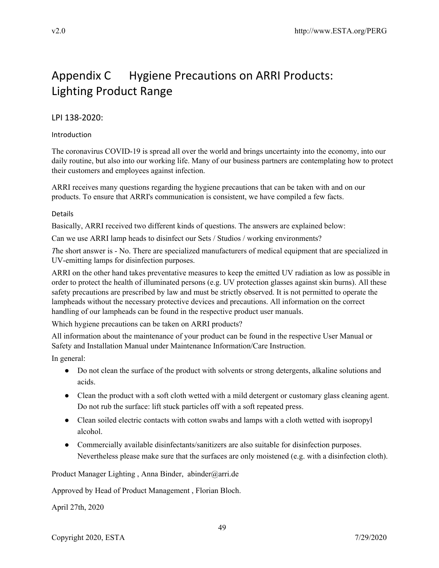# Appendix C Hygiene Precautions on ARRI Products: Lighting Product Range

# LPI 138-2020:

## Introduction

The coronavirus COVID-19 is spread all over the world and brings uncertainty into the economy, into our daily routine, but also into our working life. Many of our business partners are contemplating how to protect their customers and employees against infection.

ARRI receives many questions regarding the hygiene precautions that can be taken with and on our products. To ensure that ARRI's communication is consistent, we have compiled a few facts.

### Details

Basically, ARRI received two different kinds of questions. The answers are explained below:

Can we use ARRI lamp heads to disinfect our Sets / Studios / working environments?

*T*he short answer is - No. There are specialized manufacturers of medical equipment that are specialized in UV-emitting lamps for disinfection purposes.

ARRI on the other hand takes preventative measures to keep the emitted UV radiation as low as possible in order to protect the health of illuminated persons (e.g. UV protection glasses against skin burns). All these safety precautions are prescribed by law and must be strictly observed. It is not permitted to operate the lampheads without the necessary protective devices and precautions. All information on the correct handling of our lampheads can be found in the respective product user manuals.

Which hygiene precautions can be taken on ARRI products?

All information about the maintenance of your product can be found in the respective User Manual or Safety and Installation Manual under Maintenance Information/Care Instruction.

In general:

- Do not clean the surface of the product with solvents or strong detergents, alkaline solutions and acids.
- Clean the product with a soft cloth wetted with a mild detergent or customary glass cleaning agent. Do not rub the surface: lift stuck particles off with a soft repeated press.
- Clean soiled electric contacts with cotton swabs and lamps with a cloth wetted with isopropyl alcohol.
- Commercially available disinfectants/sanitizers are also suitable for disinfection purposes. Nevertheless please make sure that the surfaces are only moistened (e.g. with a disinfection cloth).

Product Manager Lighting, Anna Binder, abinder@arri.de

Approved by Head of Product Management , Florian Bloch.

April 27th, 2020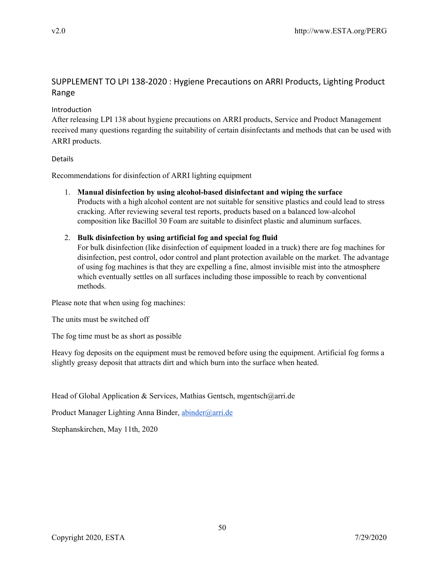# SUPPLEMENT TO LPI 138-2020 : Hygiene Precautions on ARRI Products, Lighting Product Range

## Introduction

After releasing LPI 138 about hygiene precautions on ARRI products, Service and Product Management received many questions regarding the suitability of certain disinfectants and methods that can be used with ARRI products.

### Details

Recommendations for disinfection of ARRI lighting equipment

1. **Manual disinfection by using alcohol-based disinfectant and wiping the surface** Products with a high alcohol content are not suitable for sensitive plastics and could lead to stress cracking. After reviewing several test reports, products based on a balanced low-alcohol composition like Bacillol 30 Foam are suitable to disinfect plastic and aluminum surfaces.

## 2. **Bulk disinfection by using artificial fog and special fog fluid**

For bulk disinfection (like disinfection of equipment loaded in a truck) there are fog machines for disinfection, pest control, odor control and plant protection available on the market. The advantage of using fog machines is that they are expelling a fine, almost invisible mist into the atmosphere which eventually settles on all surfaces including those impossible to reach by conventional methods.

Please note that when using fog machines:

The units must be switched off

The fog time must be as short as possible

Heavy fog deposits on the equipment must be removed before using the equipment. Artificial fog forms a slightly greasy deposit that attracts dirt and which burn into the surface when heated.

Head of Global Application & Services, Mathias Gentsch, mgentsch@arri.de

Product Manager Lighting Anna Binder, [abinder@arri.de](mailto:abinder@arri.de)

Stephanskirchen, May 11th, 2020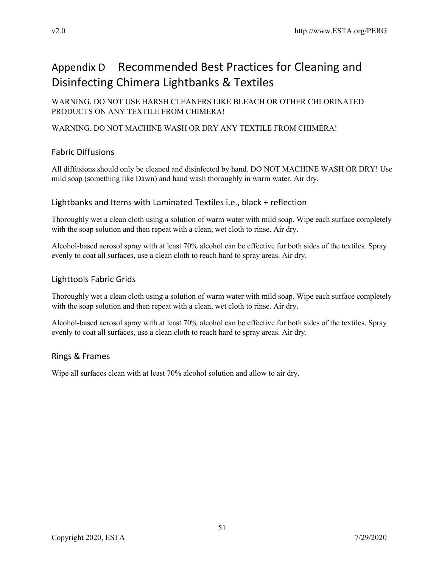# Appendix D Recommended Best Practices for Cleaning and Disinfecting Chimera Lightbanks & Textiles

WARNING. DO NOT USE HARSH CLEANERS LIKE BLEACH OR OTHER CHLORINATED PRODUCTS ON ANY TEXTILE FROM CHIMERA!

# WARNING. DO NOT MACHINE WASH OR DRY ANY TEXTILE FROM CHIMERA!

# Fabric Diffusions

All diffusions should only be cleaned and disinfected by hand. DO NOT MACHINE WASH OR DRY! Use mild soap (something like Dawn) and hand wash thoroughly in warm water. Air dry.

# Lightbanks and Items with Laminated Textiles i.e., black + reflection

Thoroughly wet a clean cloth using a solution of warm water with mild soap. Wipe each surface completely with the soap solution and then repeat with a clean, wet cloth to rinse. Air dry.

Alcohol-based aerosol spray with at least 70% alcohol can be effective for both sides of the textiles. Spray evenly to coat all surfaces, use a clean cloth to reach hard to spray areas. Air dry.

# Lighttools Fabric Grids

Thoroughly wet a clean cloth using a solution of warm water with mild soap. Wipe each surface completely with the soap solution and then repeat with a clean, wet cloth to rinse. Air dry.

Alcohol-based aerosol spray with at least 70% alcohol can be effective for both sides of the textiles. Spray evenly to coat all surfaces, use a clean cloth to reach hard to spray areas. Air dry.

# Rings & Frames

Wipe all surfaces clean with at least 70% alcohol solution and allow to air dry.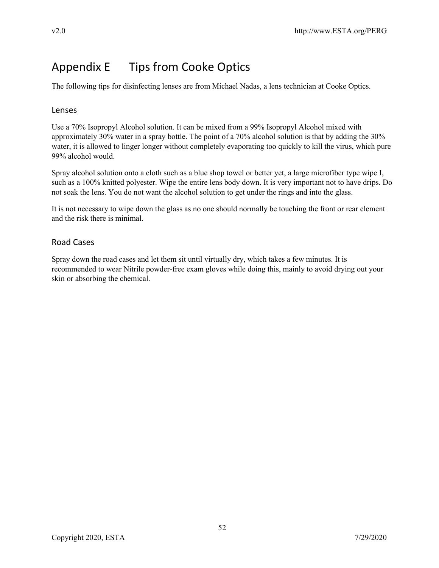# Appendix E Tips from Cooke Optics

The following tips for disinfecting lenses are from Michael Nadas, a lens technician at Cooke Optics.

## Lenses

Use a 70% Isopropyl Alcohol solution. It can be mixed from a 99% Isopropyl Alcohol mixed with approximately 30% water in a spray bottle. The point of a 70% alcohol solution is that by adding the 30% water, it is allowed to linger longer without completely evaporating too quickly to kill the virus, which pure 99% alcohol would.

Spray alcohol solution onto a cloth such as a blue shop towel or better yet, a large microfiber type wipe I, such as a 100% knitted polyester. Wipe the entire lens body down. It is very important not to have drips. Do not soak the lens. You do not want the alcohol solution to get under the rings and into the glass.

It is not necessary to wipe down the glass as no one should normally be touching the front or rear element and the risk there is minimal.

# Road Cases

Spray down the road cases and let them sit until virtually dry, which takes a few minutes. It is recommended to wear Nitrile powder-free exam gloves while doing this, mainly to avoid drying out your skin or absorbing the chemical.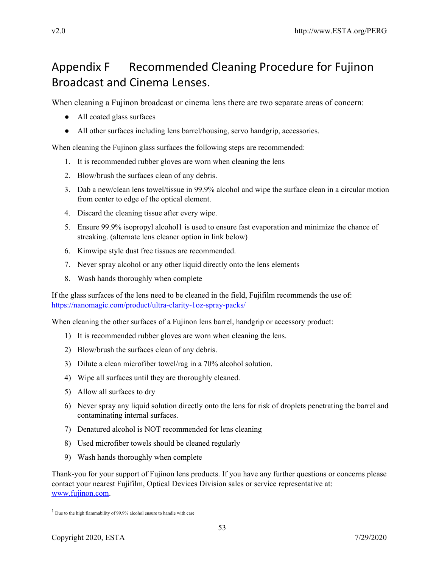# Appendix F Recommended Cleaning Procedure for Fujinon Broadcast and Cinema Lenses.

When cleaning a Fujinon broadcast or cinema lens there are two separate areas of concern:

- All coated glass surfaces
- All other surfaces including lens barrel/housing, servo handgrip, accessories.

When cleaning the Fujinon glass surfaces the following steps are recommended:

- 1. It is recommended rubber gloves are worn when cleaning the lens
- 2. Blow/brush the surfaces clean of any debris.
- 3. Dab a new/clean lens towel/tissue in 99.9% alcohol and wipe the surface clean in a circular motion from center to edge of the optical element.
- 4. Discard the cleaning tissue after every wipe.
- 5. Ensure 99.9% isopropyl alcohol1 is used to ensure fast evaporation and minimize the chance of streaking. (alternate lens cleaner option in link below)
- 6. Kimwipe style dust free tissues are recommended.
- 7. Never spray alcohol or any other liquid directly onto the lens elements
- 8. Wash hands thoroughly when complete

If the glass surfaces of the lens need to be cleaned in the field, Fujifilm recommends the use of: https://nanomagic.com/product/ultra-clarity-1oz-spray-packs/

When cleaning the other surfaces of a Fujinon lens barrel, handgrip or accessory product:

- 1) It is recommended rubber gloves are worn when cleaning the lens.
- 2) Blow/brush the surfaces clean of any debris.
- 3) Dilute a clean microfiber towel/rag in a 70% alcohol solution.
- 4) Wipe all surfaces until they are thoroughly cleaned.
- 5) Allow all surfaces to dry
- 6) Never spray any liquid solution directly onto the lens for risk of droplets penetrating the barrel and contaminating internal surfaces.
- 7) Denatured alcohol is NOT recommended for lens cleaning
- 8) Used microfiber towels should be cleaned regularly
- 9) Wash hands thoroughly when complete

Thank-you for your support of Fujinon lens products. If you have any further questions or concerns please contact your nearest Fujifilm, Optical Devices Division sales or service representative at: [www.fujinon.com.](http://www.fujinon.com/)

<sup>&</sup>lt;sup>1</sup> Due to the high flammability of 99.9% alcohol ensure to handle with care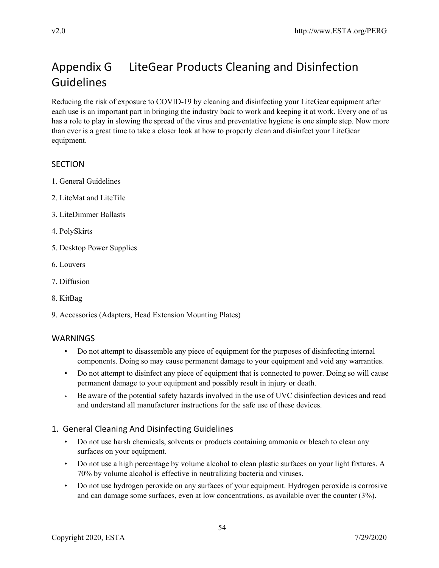# Appendix G LiteGear Products Cleaning and Disinfection Guidelines

Reducing the risk of exposure to COVID-19 by cleaning and disinfecting your LiteGear equipment after each use is an important part in bringing the industry back to work and keeping it at work. Every one of us has a role to play in slowing the spread of the virus and preventative hygiene is one simple step. Now more than ever is a great time to take a closer look at how to properly clean and disinfect your LiteGear equipment.

# **SECTION**

- 1. General Guidelines
- 2. LiteMat and LiteTile
- 3. LiteDimmer Ballasts
- 4. PolySkirts
- 5. Desktop Power Supplies
- 6. Louvers
- 7. Diffusion
- 8. KitBag
- 9. Accessories (Adapters, Head Extension Mounting Plates)

# WARNINGS

- Do not attempt to disassemble any piece of equipment for the purposes of disinfecting internal components. Doing so may cause permanent damage to your equipment and void any warranties.
- Do not attempt to disinfect any piece of equipment that is connected to power. Doing so will cause permanent damage to your equipment and possibly result in injury or death.
- Be aware of the potential safety hazards involved in the use of UVC disinfection devices and read and understand all manufacturer instructions for the safe use of these devices.

# 1. General Cleaning And Disinfecting Guidelines

- Do not use harsh chemicals, solvents or products containing ammonia or bleach to clean any surfaces on your equipment.
- Do not use a high percentage by volume alcohol to clean plastic surfaces on your light fixtures. A 70% by volume alcohol is effective in neutralizing bacteria and viruses.
- Do not use hydrogen peroxide on any surfaces of your equipment. Hydrogen peroxide is corrosive and can damage some surfaces, even at low concentrations, as available over the counter (3%).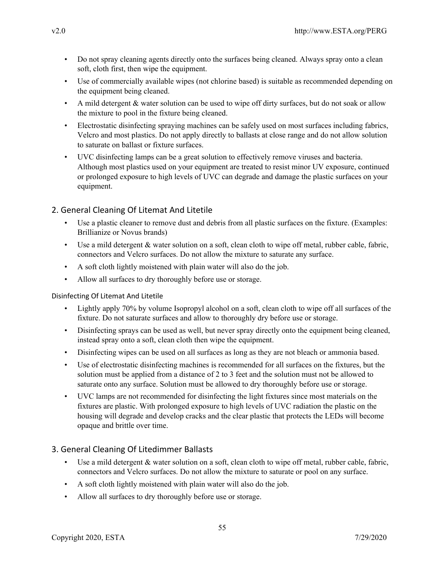- Do not spray cleaning agents directly onto the surfaces being cleaned. Always spray onto a clean soft, cloth first, then wipe the equipment.
- Use of commercially available wipes (not chlorine based) is suitable as recommended depending on the equipment being cleaned.
- A mild detergent & water solution can be used to wipe off dirty surfaces, but do not soak or allow the mixture to pool in the fixture being cleaned.
- Electrostatic disinfecting spraying machines can be safely used on most surfaces including fabrics, Velcro and most plastics. Do not apply directly to ballasts at close range and do not allow solution to saturate on ballast or fixture surfaces.
- UVC disinfecting lamps can be a great solution to effectively remove viruses and bacteria. Although most plastics used on your equipment are treated to resist minor UV exposure, continued or prolonged exposure to high levels of UVC can degrade and damage the plastic surfaces on your equipment.

# 2. General Cleaning Of Litemat And Litetile

- Use a plastic cleaner to remove dust and debris from all plastic surfaces on the fixture. (Examples: Brillianize or Novus brands)
- Use a mild detergent & water solution on a soft, clean cloth to wipe off metal, rubber cable, fabric, connectors and Velcro surfaces. Do not allow the mixture to saturate any surface.
- A soft cloth lightly moistened with plain water will also do the job.
- Allow all surfaces to dry thoroughly before use or storage.

## Disinfecting Of Litemat And Litetile

- Lightly apply 70% by volume Isopropyl alcohol on a soft, clean cloth to wipe off all surfaces of the fixture. Do not saturate surfaces and allow to thoroughly dry before use or storage.
- Disinfecting sprays can be used as well, but never spray directly onto the equipment being cleaned, instead spray onto a soft, clean cloth then wipe the equipment.
- Disinfecting wipes can be used on all surfaces as long as they are not bleach or ammonia based.
- Use of electrostatic disinfecting machines is recommended for all surfaces on the fixtures, but the solution must be applied from a distance of 2 to 3 feet and the solution must not be allowed to saturate onto any surface. Solution must be allowed to dry thoroughly before use or storage.
- UVC lamps are not recommended for disinfecting the light fixtures since most materials on the fixtures are plastic. With prolonged exposure to high levels of UVC radiation the plastic on the housing will degrade and develop cracks and the clear plastic that protects the LEDs will become opaque and brittle over time.

# 3. General Cleaning Of Litedimmer Ballasts

- Use a mild detergent & water solution on a soft, clean cloth to wipe off metal, rubber cable, fabric, connectors and Velcro surfaces. Do not allow the mixture to saturate or pool on any surface.
- A soft cloth lightly moistened with plain water will also do the job.
- Allow all surfaces to dry thoroughly before use or storage.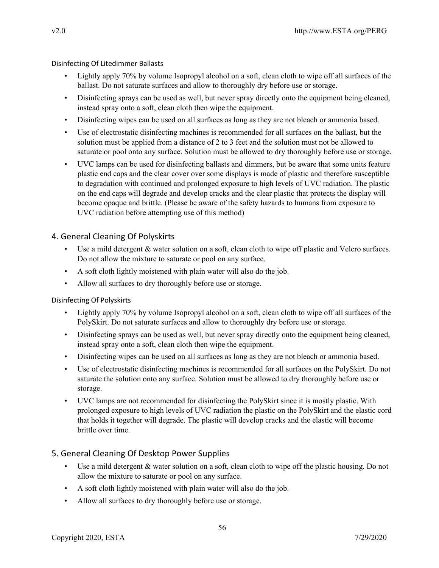Disinfecting Of Litedimmer Ballasts

- Lightly apply 70% by volume Isopropyl alcohol on a soft, clean cloth to wipe off all surfaces of the ballast. Do not saturate surfaces and allow to thoroughly dry before use or storage.
- Disinfecting sprays can be used as well, but never spray directly onto the equipment being cleaned, instead spray onto a soft, clean cloth then wipe the equipment.
- Disinfecting wipes can be used on all surfaces as long as they are not bleach or ammonia based.
- Use of electrostatic disinfecting machines is recommended for all surfaces on the ballast, but the solution must be applied from a distance of 2 to 3 feet and the solution must not be allowed to saturate or pool onto any surface. Solution must be allowed to dry thoroughly before use or storage.
- UVC lamps can be used for disinfecting ballasts and dimmers, but be aware that some units feature plastic end caps and the clear cover over some displays is made of plastic and therefore susceptible to degradation with continued and prolonged exposure to high levels of UVC radiation. The plastic on the end caps will degrade and develop cracks and the clear plastic that protects the display will become opaque and brittle. (Please be aware of the safety hazards to humans from exposure to UVC radiation before attempting use of this method)

## 4. General Cleaning Of Polyskirts

- Use a mild detergent & water solution on a soft, clean cloth to wipe off plastic and Velcro surfaces. Do not allow the mixture to saturate or pool on any surface.
- A soft cloth lightly moistened with plain water will also do the job.
- Allow all surfaces to dry thoroughly before use or storage.

#### Disinfecting Of Polyskirts

- Lightly apply 70% by volume Isopropyl alcohol on a soft, clean cloth to wipe off all surfaces of the PolySkirt. Do not saturate surfaces and allow to thoroughly dry before use or storage.
- Disinfecting sprays can be used as well, but never spray directly onto the equipment being cleaned, instead spray onto a soft, clean cloth then wipe the equipment.
- Disinfecting wipes can be used on all surfaces as long as they are not bleach or ammonia based.
- Use of electrostatic disinfecting machines is recommended for all surfaces on the PolySkirt. Do not saturate the solution onto any surface. Solution must be allowed to dry thoroughly before use or storage.
- UVC lamps are not recommended for disinfecting the PolySkirt since it is mostly plastic. With prolonged exposure to high levels of UVC radiation the plastic on the PolySkirt and the elastic cord that holds it together will degrade. The plastic will develop cracks and the elastic will become brittle over time.

## 5. General Cleaning Of Desktop Power Supplies

- Use a mild detergent & water solution on a soft, clean cloth to wipe off the plastic housing. Do not allow the mixture to saturate or pool on any surface.
- A soft cloth lightly moistened with plain water will also do the job.
- Allow all surfaces to dry thoroughly before use or storage.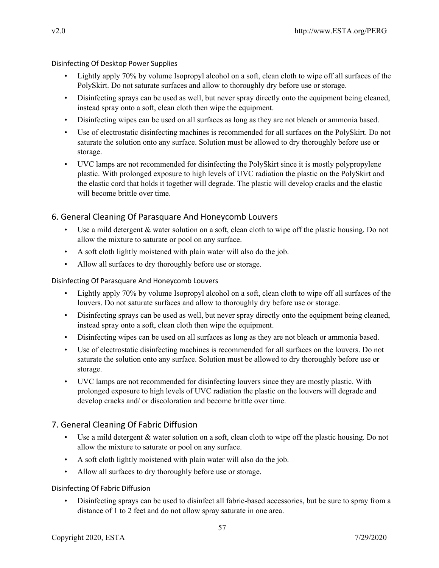Disinfecting Of Desktop Power Supplies

- Lightly apply 70% by volume Isopropyl alcohol on a soft, clean cloth to wipe off all surfaces of the PolySkirt. Do not saturate surfaces and allow to thoroughly dry before use or storage.
- Disinfecting sprays can be used as well, but never spray directly onto the equipment being cleaned, instead spray onto a soft, clean cloth then wipe the equipment.
- Disinfecting wipes can be used on all surfaces as long as they are not bleach or ammonia based.
- Use of electrostatic disinfecting machines is recommended for all surfaces on the PolySkirt. Do not saturate the solution onto any surface. Solution must be allowed to dry thoroughly before use or storage.
- UVC lamps are not recommended for disinfecting the PolySkirt since it is mostly polypropylene plastic. With prolonged exposure to high levels of UVC radiation the plastic on the PolySkirt and the elastic cord that holds it together will degrade. The plastic will develop cracks and the elastic will become brittle over time.

## 6. General Cleaning Of Parasquare And Honeycomb Louvers

- Use a mild detergent & water solution on a soft, clean cloth to wipe off the plastic housing. Do not allow the mixture to saturate or pool on any surface.
- A soft cloth lightly moistened with plain water will also do the job.
- Allow all surfaces to dry thoroughly before use or storage.

### Disinfecting Of Parasquare And Honeycomb Louvers

- Lightly apply 70% by volume Isopropyl alcohol on a soft, clean cloth to wipe off all surfaces of the louvers. Do not saturate surfaces and allow to thoroughly dry before use or storage.
- Disinfecting sprays can be used as well, but never spray directly onto the equipment being cleaned, instead spray onto a soft, clean cloth then wipe the equipment.
- Disinfecting wipes can be used on all surfaces as long as they are not bleach or ammonia based.
- Use of electrostatic disinfecting machines is recommended for all surfaces on the louvers. Do not saturate the solution onto any surface. Solution must be allowed to dry thoroughly before use or storage.
- UVC lamps are not recommended for disinfecting louvers since they are mostly plastic. With prolonged exposure to high levels of UVC radiation the plastic on the louvers will degrade and develop cracks and/ or discoloration and become brittle over time.

# 7. General Cleaning Of Fabric Diffusion

- Use a mild detergent & water solution on a soft, clean cloth to wipe off the plastic housing. Do not allow the mixture to saturate or pool on any surface.
- A soft cloth lightly moistened with plain water will also do the job.
- Allow all surfaces to dry thoroughly before use or storage.

## Disinfecting Of Fabric Diffusion

• Disinfecting sprays can be used to disinfect all fabric-based accessories, but be sure to spray from a distance of 1 to 2 feet and do not allow spray saturate in one area.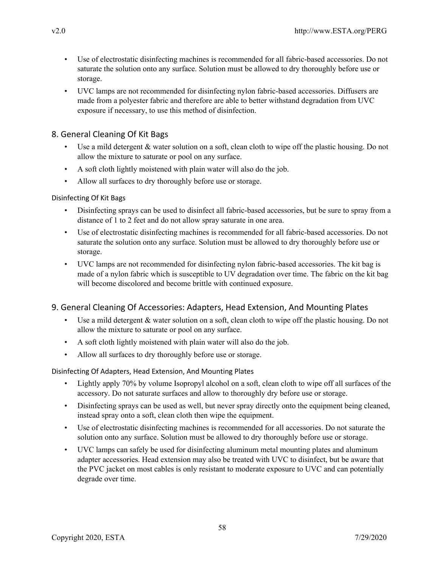- Use of electrostatic disinfecting machines is recommended for all fabric-based accessories. Do not saturate the solution onto any surface. Solution must be allowed to dry thoroughly before use or storage.
- UVC lamps are not recommended for disinfecting nylon fabric-based accessories. Diffusers are made from a polyester fabric and therefore are able to better withstand degradation from UVC exposure if necessary, to use this method of disinfection.

# 8. General Cleaning Of Kit Bags

- Use a mild detergent & water solution on a soft, clean cloth to wipe off the plastic housing. Do not allow the mixture to saturate or pool on any surface.
- A soft cloth lightly moistened with plain water will also do the job.
- Allow all surfaces to dry thoroughly before use or storage.

## Disinfecting Of Kit Bags

- Disinfecting sprays can be used to disinfect all fabric-based accessories, but be sure to spray from a distance of 1 to 2 feet and do not allow spray saturate in one area.
- Use of electrostatic disinfecting machines is recommended for all fabric-based accessories. Do not saturate the solution onto any surface. Solution must be allowed to dry thoroughly before use or storage.
- UVC lamps are not recommended for disinfecting nylon fabric-based accessories. The kit bag is made of a nylon fabric which is susceptible to UV degradation over time. The fabric on the kit bag will become discolored and become brittle with continued exposure.

# 9. General Cleaning Of Accessories: Adapters, Head Extension, And Mounting Plates

- Use a mild detergent & water solution on a soft, clean cloth to wipe off the plastic housing. Do not allow the mixture to saturate or pool on any surface.
- A soft cloth lightly moistened with plain water will also do the job.
- Allow all surfaces to dry thoroughly before use or storage.

## Disinfecting Of Adapters, Head Extension, And Mounting Plates

- Lightly apply 70% by volume Isopropyl alcohol on a soft, clean cloth to wipe off all surfaces of the accessory. Do not saturate surfaces and allow to thoroughly dry before use or storage.
- Disinfecting sprays can be used as well, but never spray directly onto the equipment being cleaned, instead spray onto a soft, clean cloth then wipe the equipment.
- Use of electrostatic disinfecting machines is recommended for all accessories. Do not saturate the solution onto any surface. Solution must be allowed to dry thoroughly before use or storage.
- UVC lamps can safely be used for disinfecting aluminum metal mounting plates and aluminum adapter accessories. Head extension may also be treated with UVC to disinfect, but be aware that the PVC jacket on most cables is only resistant to moderate exposure to UVC and can potentially degrade over time.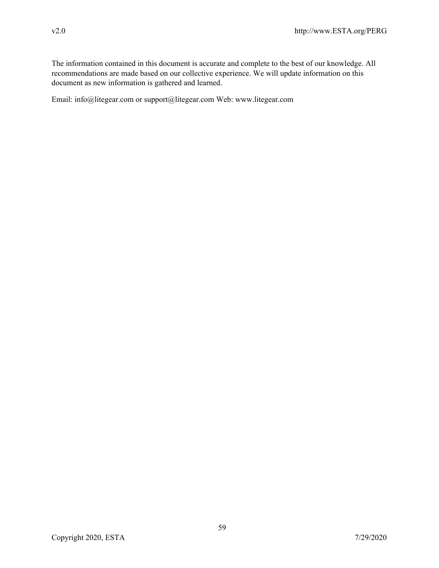The information contained in this document is accurate and complete to the best of our knowledge. All recommendations are made based on our collective experience. We will update information on this document as new information is gathered and learned.

Email: info@litegear.com or support@litegear.com Web: www.litegear.com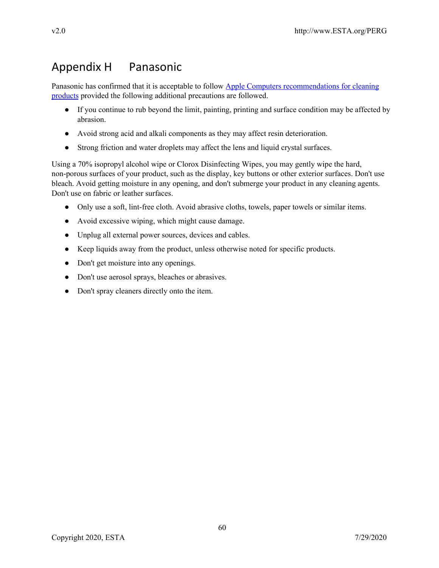# Appendix H Panasonic

Panasonic has confirmed that it is acceptable to follow Apple Computers [recommendations](https://support.apple.com/en-gb/HT204172) for cleaning [products](https://support.apple.com/en-gb/HT204172) provided the following additional precautions are followed.

- If you continue to rub beyond the limit, painting, printing and surface condition may be affected by abrasion.
- Avoid strong acid and alkali components as they may affect resin deterioration.
- Strong friction and water droplets may affect the lens and liquid crystal surfaces.

Using a 70% isopropyl alcohol wipe or Clorox Disinfecting Wipes, you may gently wipe the hard, non-porous surfaces of your product, such as the display, key buttons or other exterior surfaces. Don't use bleach. Avoid getting moisture in any opening, and don't submerge your product in any cleaning agents. Don't use on fabric or leather surfaces.

- Only use a soft, lint-free cloth. Avoid abrasive cloths, towels, paper towels or similar items.
- Avoid excessive wiping, which might cause damage.
- Unplug all external power sources, devices and cables.
- Keep liquids away from the product, unless otherwise noted for specific products.
- Don't get moisture into any openings.
- Don't use aerosol sprays, bleaches or abrasives.
- Don't spray cleaners directly onto the item.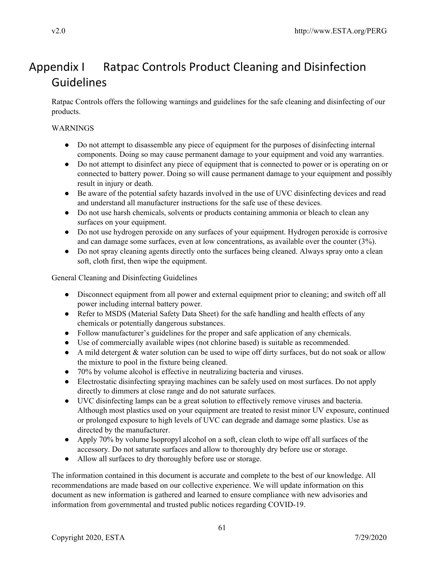# Appendix I Ratpac Controls Product Cleaning and Disinfection Guidelines

Ratpac Controls offers the following warnings and guidelines for the safe cleaning and disinfecting of our products.

# WARNINGS

- Do not attempt to disassemble any piece of equipment for the purposes of disinfecting internal components. Doing so may cause permanent damage to your equipment and void any warranties.
- Do not attempt to disinfect any piece of equipment that is connected to power or is operating on or connected to battery power. Doing so will cause permanent damage to your equipment and possibly result in injury or death.
- Be aware of the potential safety hazards involved in the use of UVC disinfecting devices and read and understand all manufacturer instructions for the safe use of these devices.
- Do not use harsh chemicals, solvents or products containing ammonia or bleach to clean any surfaces on your equipment.
- Do not use hydrogen peroxide on any surfaces of your equipment. Hydrogen peroxide is corrosive and can damage some surfaces, even at low concentrations, as available over the counter (3%).
- Do not spray cleaning agents directly onto the surfaces being cleaned. Always spray onto a clean soft, cloth first, then wipe the equipment.

General Cleaning and Disinfecting Guidelines

- Disconnect equipment from all power and external equipment prior to cleaning; and switch off all power including internal battery power.
- Refer to MSDS (Material Safety Data Sheet) for the safe handling and health effects of any chemicals or potentially dangerous substances.
- Follow manufacturer's guidelines for the proper and safe application of any chemicals.
- Use of commercially available wipes (not chlorine based) is suitable as recommended.
- A mild detergent & water solution can be used to wipe off dirty surfaces, but do not soak or allow the mixture to pool in the fixture being cleaned.
- 70% by volume alcohol is effective in neutralizing bacteria and viruses.
- Electrostatic disinfecting spraying machines can be safely used on most surfaces. Do not apply directly to dimmers at close range and do not saturate surfaces.
- UVC disinfecting lamps can be a great solution to effectively remove viruses and bacteria. Although most plastics used on your equipment are treated to resist minor UV exposure, continued or prolonged exposure to high levels of UVC can degrade and damage some plastics. Use as directed by the manufacturer.
- Apply 70% by volume Isopropyl alcohol on a soft, clean cloth to wipe off all surfaces of the accessory. Do not saturate surfaces and allow to thoroughly dry before use or storage.
- Allow all surfaces to dry thoroughly before use or storage.

The information contained in this document is accurate and complete to the best of our knowledge. All recommendations are made based on our collective experience. We will update information on this document as new information is gathered and learned to ensure compliance with new advisories and information from governmental and trusted public notices regarding COVID-19.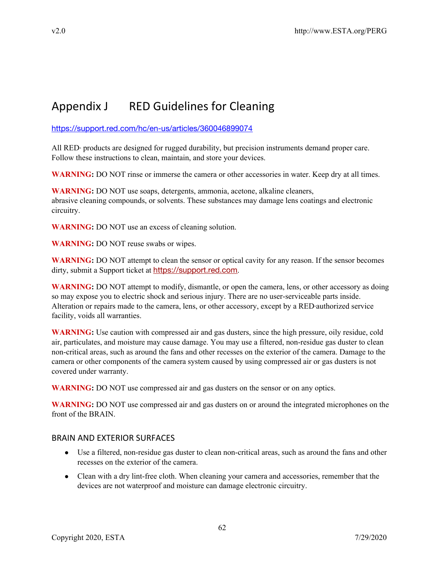# Appendix J RED Guidelines for Cleaning

<https://support.red.com/hc/en-us/articles/360046899074>

All RED<sup>®</sup> products are designed for rugged durability, but precision instruments demand proper care. Follow these instructions to clean, maintain, and store your devices.

**WARNING:** DO NOT rinse or immerse the camera or other accessories in water. Keep dry at all times.

**WARNING:** DO NOT use soaps, detergents, ammonia, acetone, alkaline cleaners, abrasive cleaning compounds, or solvents. These substances may damage lens coatings and electronic circuitry.

**WARNING:** DO NOT use an excess of cleaning solution.

**WARNING:** DO NOT reuse swabs or wipes.

**WARNING:** DO NOT attempt to clean the sensor or optical cavity for any reason. If the sensor becomes dirty, submit a Support ticket at [https://support.red.com](https://support.red.com/hc/en-us/requests/new).

**WARNING:** DO NOT attempt to modify, dismantle, or open the camera, lens, or other accessory as doing so may expose you to electric shock and serious injury. There are no user-serviceable parts inside. Alteration or repairs made to the camera, lens, or other accessory, except by a RED authorized service facility, voids all warranties.

**WARNING:** Use caution with compressed air and gas dusters, since the high pressure, oily residue, cold air, particulates, and moisture may cause damage. You may use a filtered, non-residue gas duster to clean non-critical areas, such as around the fans and other recesses on the exterior of the camera. Damage to the camera or other components of the camera system caused by using compressed air or gas dusters is not covered under warranty.

**WARNING:** DO NOT use compressed air and gas dusters on the sensor or on any optics.

**WARNING:** DO NOT use compressed air and gas dusters on or around the integrated microphones on the front of the BRAIN.

## BRAIN AND EXTERIOR SURFACES

- Use a filtered, non-residue gas duster to clean non-critical areas, such as around the fans and other recesses on the exterior of the camera.
- Clean with a dry lint-free cloth. When cleaning your camera and accessories, remember that the devices are not waterproof and moisture can damage electronic circuitry.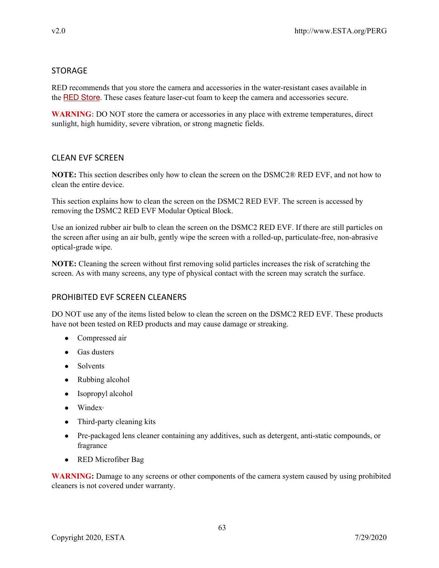# **STORAGE**

RED recommends that you store the camera and accessories in the water-resistant cases available in the RED [Store](http://www.red.com/store). These cases feature laser-cut foam to keep the camera and accessories secure.

**WARNING:** DO NOT store the camera or accessories in any place with extreme temperatures, direct sunlight, high humidity, severe vibration, or strong magnetic fields.

# CLEAN EVF SCREEN

**NOTE:** This section describes only how to clean the screen on the DSMC2® RED EVF, and not how to clean the entire device.

This section explains how to clean the screen on the DSMC2 RED EVF. The screen is accessed by removing the DSMC2 RED EVF Modular Optical Block.

Use an ionized rubber air bulb to clean the screen on the DSMC2 RED EVF. If there are still particles on the screen after using an air bulb, gently wipe the screen with a rolled-up, particulate-free, non-abrasive optical-grade wipe.

**NOTE:** Cleaning the screen without first removing solid particles increases the risk of scratching the screen. As with many screens, any type of physical contact with the screen may scratch the surface.

# PROHIBITED EVF SCREEN CLEANERS

DO NOT use any of the items listed below to clean the screen on the DSMC2 RED EVF. These products have not been tested on RED products and may cause damage or streaking.

- Compressed air
- Gas dusters
- Solvents
- Rubbing alcohol
- Isopropyl alcohol
- Windex®
- Third-party cleaning kits
- Pre-packaged lens cleaner containing any additives, such as detergent, anti-static compounds, or fragrance
- RED Microfiber Bag

**WARNING:** Damage to any screens or other components of the camera system caused by using prohibited cleaners is not covered under warranty.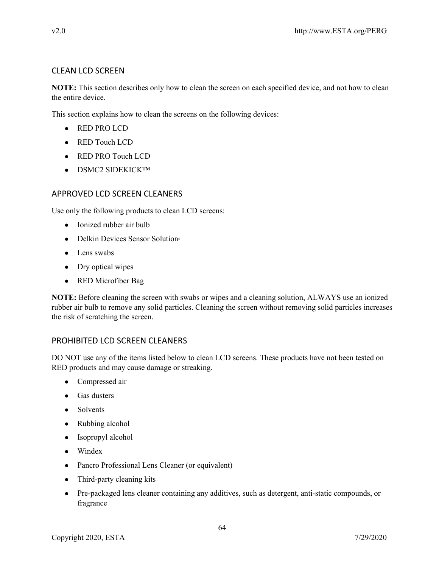# CLEAN LCD SCREEN

**NOTE:** This section describes only how to clean the screen on each specified device, and not how to clean the entire device.

This section explains how to clean the screens on the following devices:

- RED PRO LCD
- RED Touch LCD
- RED PRO Touch LCD
- DSMC2 SIDEKICK™

# APPROVED LCD SCREEN CLEANERS

Use only the following products to clean LCD screens:

- Ionized rubber air bulb
- Delkin Devices Sensor Solution®
- Lens swabs
- Dry optical wipes
- RED Microfiber Bag

**NOTE:** Before cleaning the screen with swabs or wipes and a cleaning solution, ALWAYS use an ionized rubber air bulb to remove any solid particles. Cleaning the screen without removing solid particles increases the risk of scratching the screen.

# PROHIBITED LCD SCREEN CLEANERS

DO NOT use any of the items listed below to clean LCD screens. These products have not been tested on RED products and may cause damage or streaking.

- Compressed air
- Gas dusters
- Solvents
- Rubbing alcohol
- Isopropyl alcohol
- Windex
- Pancro Professional Lens Cleaner (or equivalent)
- Third-party cleaning kits
- Pre-packaged lens cleaner containing any additives, such as detergent, anti-static compounds, or fragrance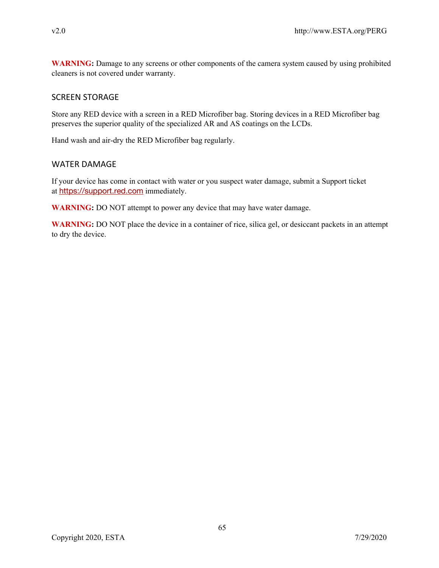**WARNING:** Damage to any screens or other components of the camera system caused by using prohibited cleaners is not covered under warranty.

## SCREEN STORAGE

Store any RED device with a screen in a RED Microfiber bag. Storing devices in a RED Microfiber bag preserves the superior quality of the specialized AR and AS coatings on the LCDs.

Hand wash and air-dry the RED Microfiber bag regularly.

## WATER DAMAGE

If your device has come in contact with water or you suspect water damage, submit a Support ticket at [https://support.red.com](https://support.red.com/hc/en-us/requests/new) immediately.

**WARNING:** DO NOT attempt to power any device that may have water damage.

**WARNING:** DO NOT place the device in a container of rice, silica gel, or desiccant packets in an attempt to dry the device.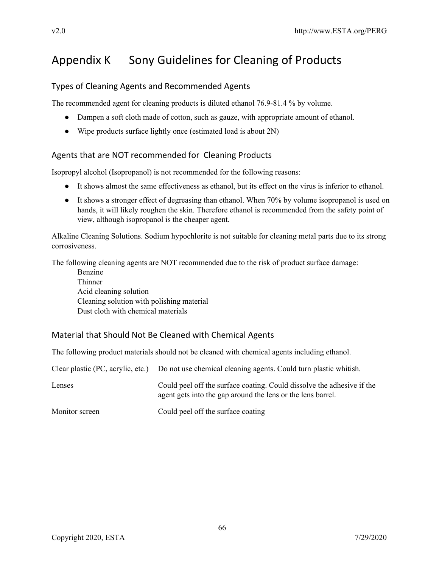# Appendix K Sony Guidelines for Cleaning of Products

# Types of Cleaning Agents and Recommended Agents

The recommended agent for cleaning products is diluted ethanol 76.9-81.4 % by volume.

- Dampen a soft cloth made of cotton, such as gauze, with appropriate amount of ethanol.
- Wipe products surface lightly once (estimated load is about 2N)

# Agents that are NOT recommended for Cleaning Products

Isopropyl alcohol (Isopropanol) is not recommended for the following reasons:

- It shows almost the same effectiveness as ethanol, but its effect on the virus is inferior to ethanol.
- It shows a stronger effect of degreasing than ethanol. When 70% by volume isopropanol is used on hands, it will likely roughen the skin. Therefore ethanol is recommended from the safety point of view, although isopropanol is the cheaper agent.

Alkaline Cleaning Solutions. Sodium hypochlorite is not suitable for cleaning metal parts due to its strong corrosiveness.

The following cleaning agents are NOT recommended due to the risk of product surface damage:

Benzine **Thinner** Acid cleaning solution Cleaning solution with polishing material Dust cloth with chemical materials

# Material that Should Not Be Cleaned with Chemical Agents

The following product materials should not be cleaned with chemical agents including ethanol.

|                | Clear plastic (PC, acrylic, etc.) Do not use chemical cleaning agents. Could turn plastic whitish.                                    |
|----------------|---------------------------------------------------------------------------------------------------------------------------------------|
| Lenses         | Could peel off the surface coating. Could dissolve the adhesive if the<br>agent gets into the gap around the lens or the lens barrel. |
| Monitor screen | Could peel off the surface coating                                                                                                    |